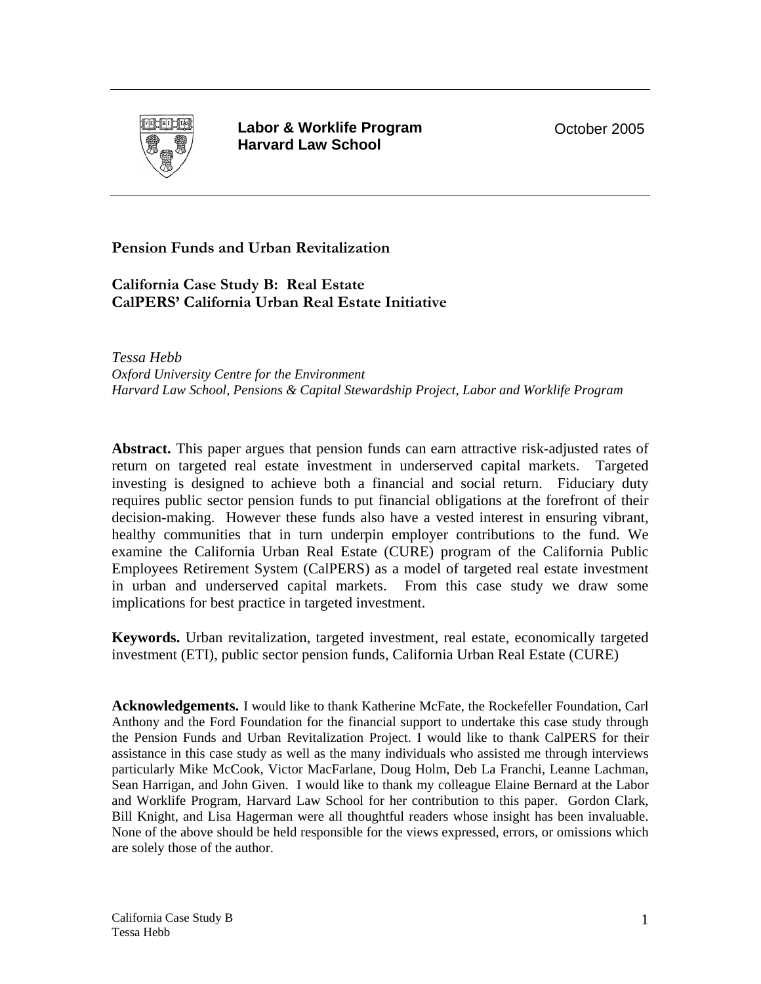

**Labor & Worklife Program Harvard Law School** 

October 2005

**Pension Funds and Urban Revitalization** 

**California Case Study B: Real Estate CalPERS' California Urban Real Estate Initiative** 

*Tessa Hebb Oxford University Centre for the Environment Harvard Law School, Pensions & Capital Stewardship Project, Labor and Worklife Program* 

**Abstract.** This paper argues that pension funds can earn attractive risk-adjusted rates of return on targeted real estate investment in underserved capital markets. Targeted investing is designed to achieve both a financial and social return. Fiduciary duty requires public sector pension funds to put financial obligations at the forefront of their decision-making. However these funds also have a vested interest in ensuring vibrant, healthy communities that in turn underpin employer contributions to the fund. We examine the California Urban Real Estate (CURE) program of the California Public Employees Retirement System (CalPERS) as a model of targeted real estate investment in urban and underserved capital markets. From this case study we draw some implications for best practice in targeted investment.

**Keywords.** Urban revitalization, targeted investment, real estate, economically targeted investment (ETI), public sector pension funds, California Urban Real Estate (CURE)

**Acknowledgements.** I would like to thank Katherine McFate, the Rockefeller Foundation, Carl Anthony and the Ford Foundation for the financial support to undertake this case study through the Pension Funds and Urban Revitalization Project. I would like to thank CalPERS for their assistance in this case study as well as the many individuals who assisted me through interviews particularly Mike McCook, Victor MacFarlane, Doug Holm, Deb La Franchi, Leanne Lachman, Sean Harrigan, and John Given. I would like to thank my colleague Elaine Bernard at the Labor and Worklife Program, Harvard Law School for her contribution to this paper. Gordon Clark, Bill Knight, and Lisa Hagerman were all thoughtful readers whose insight has been invaluable. None of the above should be held responsible for the views expressed, errors, or omissions which are solely those of the author.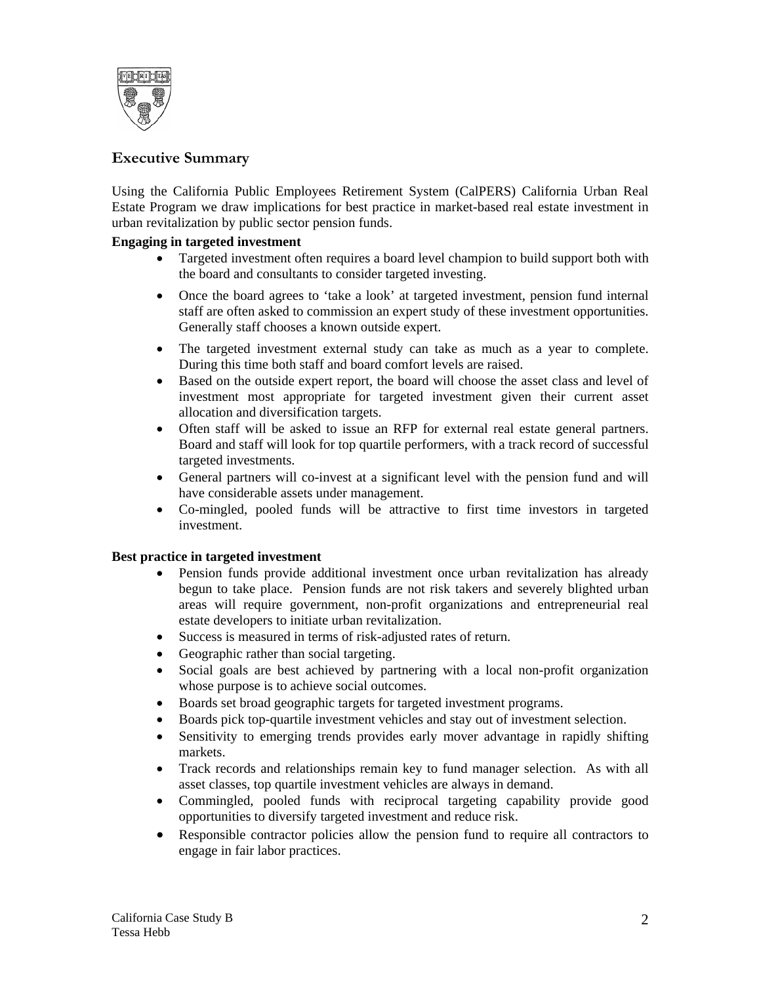

# **Executive Summary**

Using the California Public Employees Retirement System (CalPERS) California Urban Real Estate Program we draw implications for best practice in market-based real estate investment in urban revitalization by public sector pension funds.

## **Engaging in targeted investment**

- Targeted investment often requires a board level champion to build support both with the board and consultants to consider targeted investing.
- Once the board agrees to 'take a look' at targeted investment, pension fund internal staff are often asked to commission an expert study of these investment opportunities. Generally staff chooses a known outside expert.
- The targeted investment external study can take as much as a year to complete. During this time both staff and board comfort levels are raised.
- Based on the outside expert report, the board will choose the asset class and level of investment most appropriate for targeted investment given their current asset allocation and diversification targets.
- Often staff will be asked to issue an RFP for external real estate general partners. Board and staff will look for top quartile performers, with a track record of successful targeted investments.
- General partners will co-invest at a significant level with the pension fund and will have considerable assets under management.
- Co-mingled, pooled funds will be attractive to first time investors in targeted investment.

#### **Best practice in targeted investment**

- Pension funds provide additional investment once urban revitalization has already begun to take place. Pension funds are not risk takers and severely blighted urban areas will require government, non-profit organizations and entrepreneurial real estate developers to initiate urban revitalization.
- Success is measured in terms of risk-adjusted rates of return.
- Geographic rather than social targeting.
- Social goals are best achieved by partnering with a local non-profit organization whose purpose is to achieve social outcomes.
- Boards set broad geographic targets for targeted investment programs.
- Boards pick top-quartile investment vehicles and stay out of investment selection.
- Sensitivity to emerging trends provides early mover advantage in rapidly shifting markets.
- Track records and relationships remain key to fund manager selection. As with all asset classes, top quartile investment vehicles are always in demand.
- Commingled, pooled funds with reciprocal targeting capability provide good opportunities to diversify targeted investment and reduce risk.
- Responsible contractor policies allow the pension fund to require all contractors to engage in fair labor practices.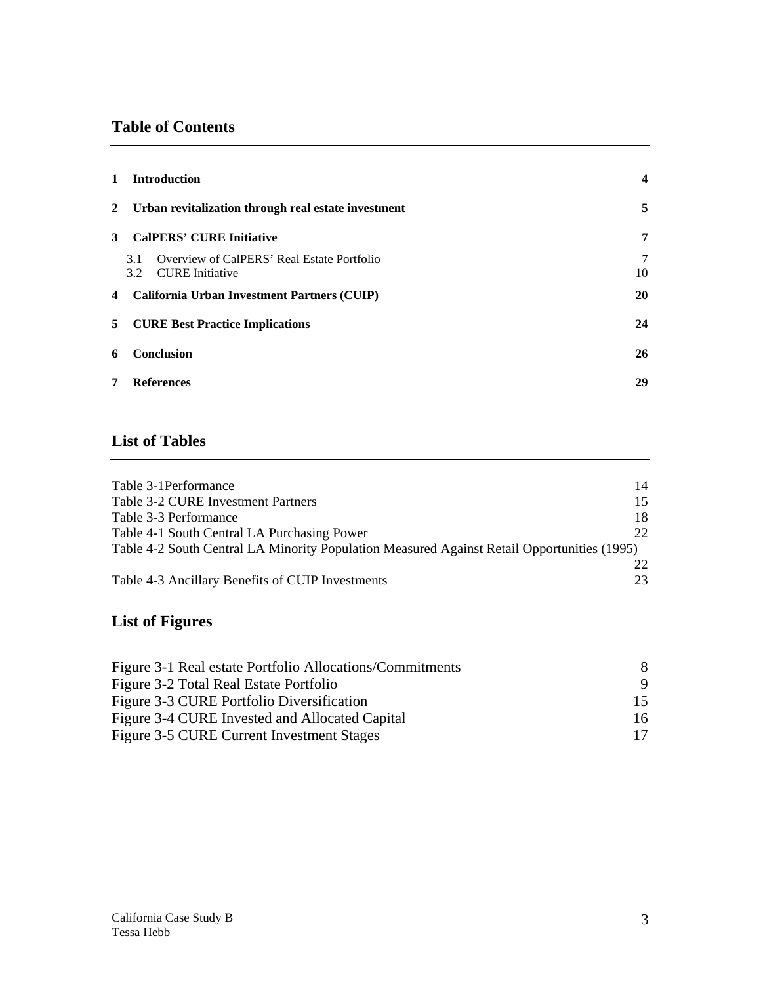# **Table of Contents**

| $\mathbf{1}$   | <b>Introduction</b>                                                         |         |  |  |  |  |
|----------------|-----------------------------------------------------------------------------|---------|--|--|--|--|
|                | 2 Urban revitalization through real estate investment                       | 5       |  |  |  |  |
| 3              | <b>CalPERS' CURE Initiative</b>                                             | 7       |  |  |  |  |
|                | Overview of CalPERS' Real Estate Portfolio<br>3.1<br>CURE Initiative<br>3.2 | 7<br>10 |  |  |  |  |
| $\overline{4}$ | California Urban Investment Partners (CUIP)                                 | 20      |  |  |  |  |
| 5              | <b>CURE Best Practice Implications</b>                                      | 24      |  |  |  |  |
| 6              | <b>Conclusion</b>                                                           | 26      |  |  |  |  |
| 7              | <b>References</b>                                                           | 29      |  |  |  |  |

# **List of Tables**

| Table 3-1 Performance                                                                       | 14              |
|---------------------------------------------------------------------------------------------|-----------------|
| Table 3-2 CURE Investment Partners                                                          | 15              |
| Table 3-3 Performance                                                                       | 18              |
| Table 4-1 South Central LA Purchasing Power                                                 | 22 <sub>1</sub> |
| Table 4-2 South Central LA Minority Population Measured Against Retail Opportunities (1995) |                 |
|                                                                                             | 22.             |
| Table 4-3 Ancillary Benefits of CUIP Investments                                            | 23              |

# **List of Figures**

| Figure 3-1 Real estate Portfolio Allocations/Commitments | 8.  |
|----------------------------------------------------------|-----|
| Figure 3-2 Total Real Estate Portfolio                   | 9.  |
| Figure 3-3 CURE Portfolio Diversification                |     |
| Figure 3-4 CURE Invested and Allocated Capital           | 16. |
| Figure 3-5 CURE Current Investment Stages                |     |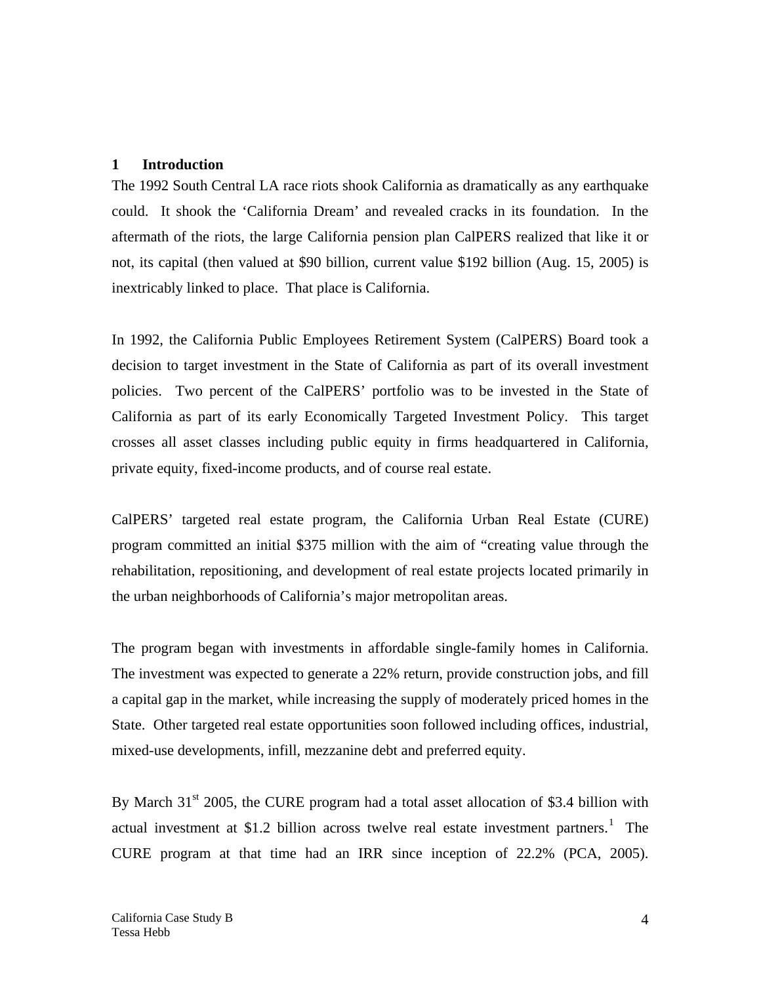## **1 Introduction**

The 1992 South Central LA race riots shook California as dramatically as any earthquake could. It shook the 'California Dream' and revealed cracks in its foundation. In the aftermath of the riots, the large California pension plan CalPERS realized that like it or not, its capital (then valued at \$90 billion, current value \$192 billion (Aug. 15, 2005) is inextricably linked to place. That place is California.

In 1992, the California Public Employees Retirement System (CalPERS) Board took a decision to target investment in the State of California as part of its overall investment policies. Two percent of the CalPERS' portfolio was to be invested in the State of California as part of its early Economically Targeted Investment Policy. This target crosses all asset classes including public equity in firms headquartered in California, private equity, fixed-income products, and of course real estate.

CalPERS' targeted real estate program, the California Urban Real Estate (CURE) program committed an initial \$375 million with the aim of "creating value through the rehabilitation, repositioning, and development of real estate projects located primarily in the urban neighborhoods of California's major metropolitan areas.

The program began with investments in affordable single-family homes in California. The investment was expected to generate a 22% return, provide construction jobs, and fill a capital gap in the market, while increasing the supply of moderately priced homes in the State. Other targeted real estate opportunities soon followed including offices, industrial, mixed-use developments, infill, mezzanine debt and preferred equity.

By March  $31<sup>st</sup>$  2005, the CURE program had a total asset allocation of \$3.4 billion with actual investment at \$1.2 billion across twelve real estate investment partners.<sup>1</sup> The CURE program at that time had an IRR since inception of 22.2% (PCA, 2005).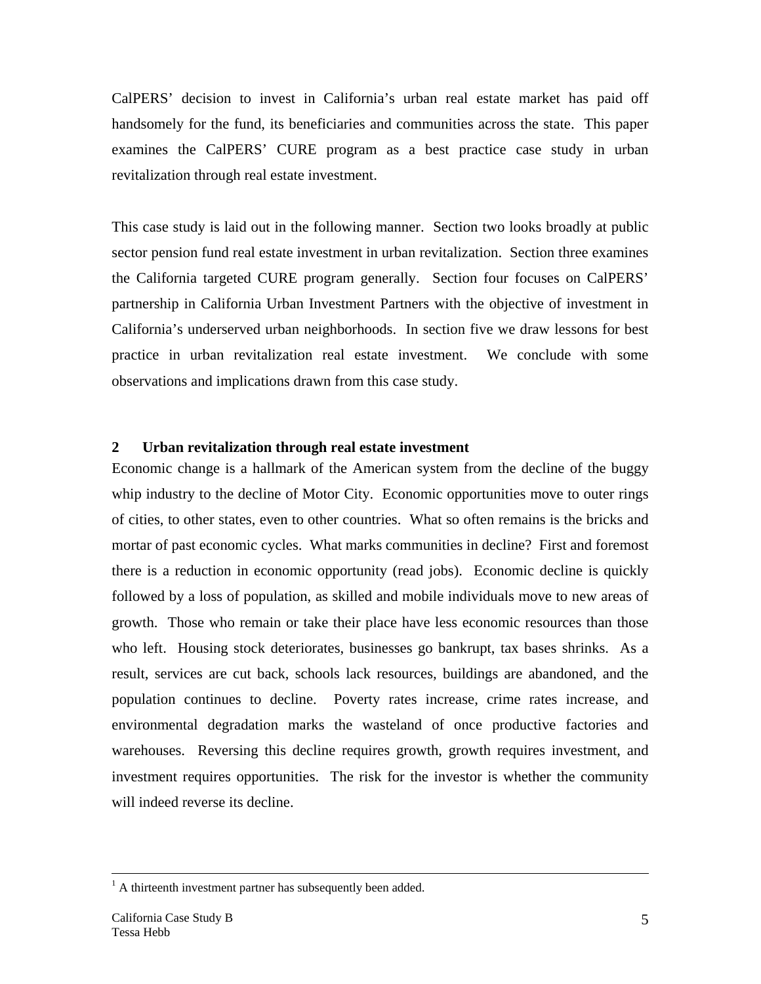CalPERS' decision to invest in California's urban real estate market has paid off handsomely for the fund, its beneficiaries and communities across the state. This paper examines the CalPERS' CURE program as a best practice case study in urban revitalization through real estate investment.

This case study is laid out in the following manner. Section two looks broadly at public sector pension fund real estate investment in urban revitalization. Section three examines the California targeted CURE program generally. Section four focuses on CalPERS' partnership in California Urban Investment Partners with the objective of investment in California's underserved urban neighborhoods. In section five we draw lessons for best practice in urban revitalization real estate investment. We conclude with some observations and implications drawn from this case study.

#### **2 Urban revitalization through real estate investment**

Economic change is a hallmark of the American system from the decline of the buggy whip industry to the decline of Motor City. Economic opportunities move to outer rings of cities, to other states, even to other countries. What so often remains is the bricks and mortar of past economic cycles. What marks communities in decline? First and foremost there is a reduction in economic opportunity (read jobs). Economic decline is quickly followed by a loss of population, as skilled and mobile individuals move to new areas of growth. Those who remain or take their place have less economic resources than those who left. Housing stock deteriorates, businesses go bankrupt, tax bases shrinks. As a result, services are cut back, schools lack resources, buildings are abandoned, and the population continues to decline. Poverty rates increase, crime rates increase, and environmental degradation marks the wasteland of once productive factories and warehouses. Reversing this decline requires growth, growth requires investment, and investment requires opportunities. The risk for the investor is whether the community will indeed reverse its decline.

 $\frac{1}{1}$  $<sup>1</sup>$  A thirteenth investment partner has subsequently been added.</sup>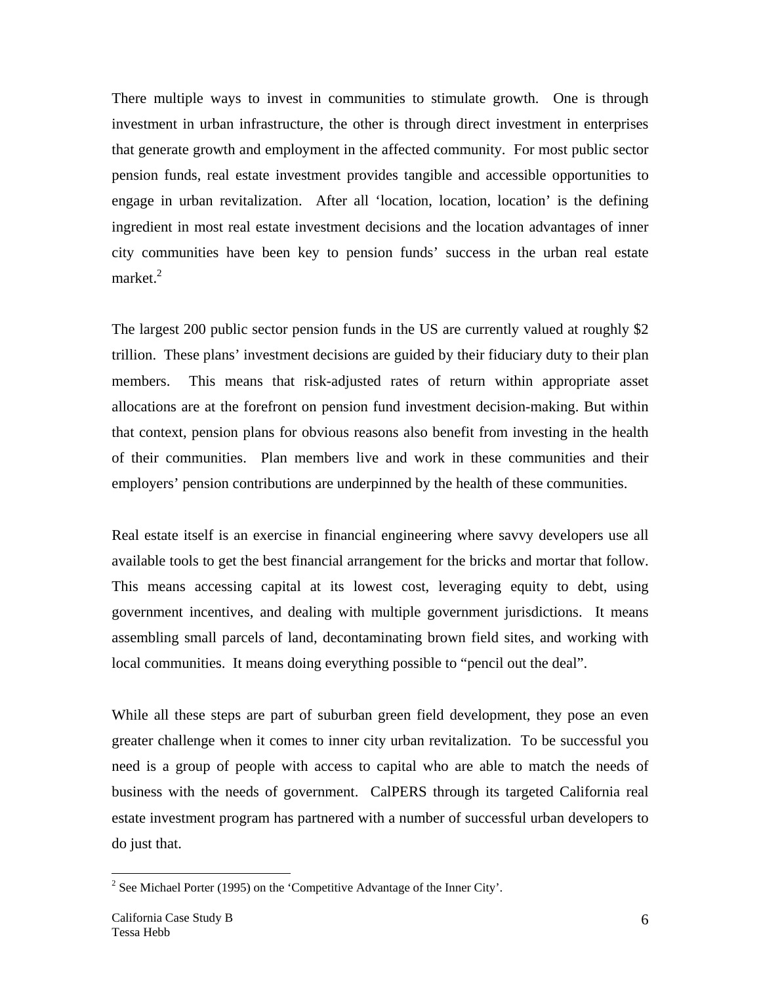There multiple ways to invest in communities to stimulate growth. One is through investment in urban infrastructure, the other is through direct investment in enterprises that generate growth and employment in the affected community. For most public sector pension funds, real estate investment provides tangible and accessible opportunities to engage in urban revitalization. After all 'location, location, location' is the defining ingredient in most real estate investment decisions and the location advantages of inner city communities have been key to pension funds' success in the urban real estate market. $2$ 

The largest 200 public sector pension funds in the US are currently valued at roughly \$2 trillion. These plans' investment decisions are guided by their fiduciary duty to their plan members. This means that risk-adjusted rates of return within appropriate asset allocations are at the forefront on pension fund investment decision-making. But within that context, pension plans for obvious reasons also benefit from investing in the health of their communities. Plan members live and work in these communities and their employers' pension contributions are underpinned by the health of these communities.

Real estate itself is an exercise in financial engineering where savvy developers use all available tools to get the best financial arrangement for the bricks and mortar that follow. This means accessing capital at its lowest cost, leveraging equity to debt, using government incentives, and dealing with multiple government jurisdictions. It means assembling small parcels of land, decontaminating brown field sites, and working with local communities. It means doing everything possible to "pencil out the deal".

While all these steps are part of suburban green field development, they pose an even greater challenge when it comes to inner city urban revitalization. To be successful you need is a group of people with access to capital who are able to match the needs of business with the needs of government. CalPERS through its targeted California real estate investment program has partnered with a number of successful urban developers to do just that.

 $\overline{a}$ 

<sup>&</sup>lt;sup>2</sup> See Michael Porter (1995) on the 'Competitive Advantage of the Inner City'.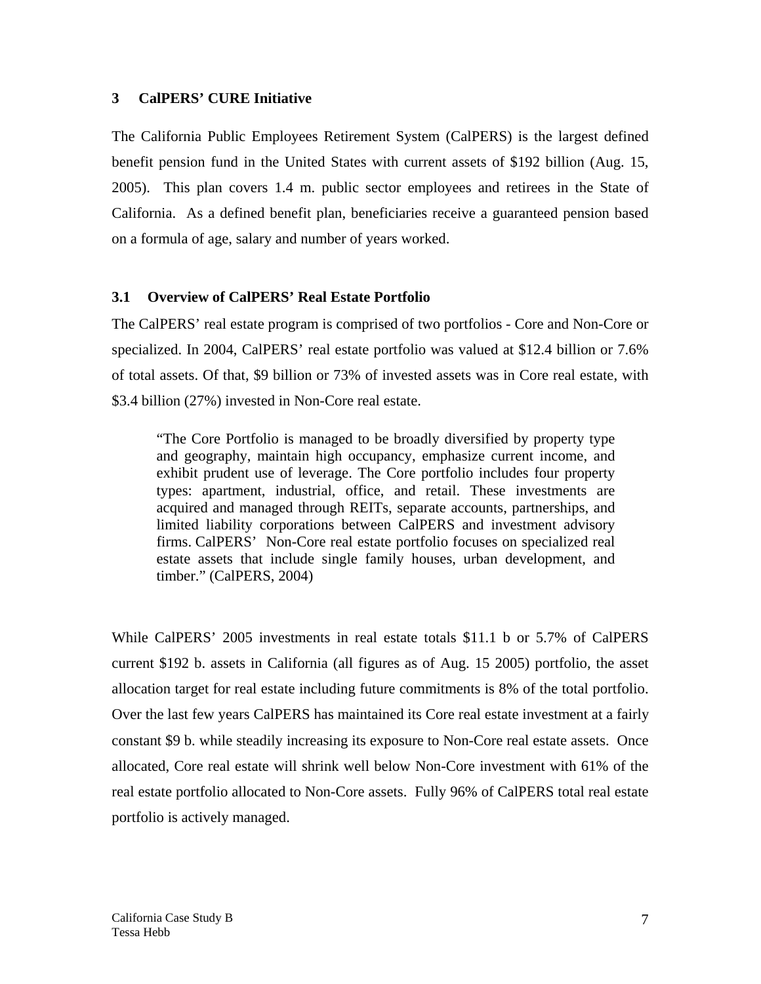## **3 CalPERS' CURE Initiative**

The California Public Employees Retirement System (CalPERS) is the largest defined benefit pension fund in the United States with current assets of \$192 billion (Aug. 15, 2005). This plan covers 1.4 m. public sector employees and retirees in the State of California. As a defined benefit plan, beneficiaries receive a guaranteed pension based on a formula of age, salary and number of years worked.

## **3.1 Overview of CalPERS' Real Estate Portfolio**

The CalPERS' real estate program is comprised of two portfolios - Core and Non-Core or specialized. In 2004, CalPERS' real estate portfolio was valued at \$12.4 billion or 7.6% of total assets. Of that, \$9 billion or 73% of invested assets was in Core real estate, with \$3.4 billion (27%) invested in Non-Core real estate.

"The Core Portfolio is managed to be broadly diversified by property type and geography, maintain high occupancy, emphasize current income, and exhibit prudent use of leverage. The Core portfolio includes four property types: apartment, industrial, office, and retail. These investments are acquired and managed through REITs, separate accounts, partnerships, and limited liability corporations between CalPERS and investment advisory firms. CalPERS' Non-Core real estate portfolio focuses on specialized real estate assets that include single family houses, urban development, and timber." (CalPERS, 2004)

While CalPERS' 2005 investments in real estate totals \$11.1 b or 5.7% of CalPERS current \$192 b. assets in California (all figures as of Aug. 15 2005) portfolio, the asset allocation target for real estate including future commitments is 8% of the total portfolio. Over the last few years CalPERS has maintained its Core real estate investment at a fairly constant \$9 b. while steadily increasing its exposure to Non-Core real estate assets. Once allocated, Core real estate will shrink well below Non-Core investment with 61% of the real estate portfolio allocated to Non-Core assets. Fully 96% of CalPERS total real estate portfolio is actively managed.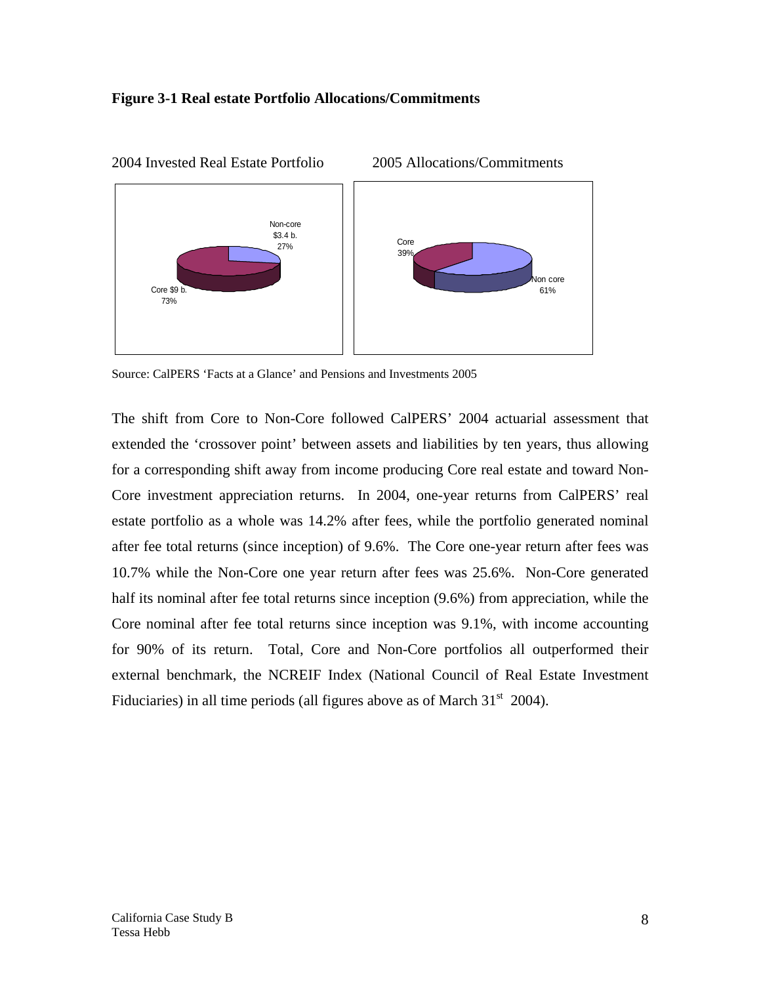#### **Figure 3-1 Real estate Portfolio Allocations/Commitments**



2004 Invested Real Estate Portfolio 2005 Allocations/Commitments

Source: CalPERS 'Facts at a Glance' and Pensions and Investments 2005

The shift from Core to Non-Core followed CalPERS' 2004 actuarial assessment that extended the 'crossover point' between assets and liabilities by ten years, thus allowing for a corresponding shift away from income producing Core real estate and toward Non-Core investment appreciation returns. In 2004, one-year returns from CalPERS' real estate portfolio as a whole was 14.2% after fees, while the portfolio generated nominal after fee total returns (since inception) of 9.6%. The Core one-year return after fees was 10.7% while the Non-Core one year return after fees was 25.6%. Non-Core generated half its nominal after fee total returns since inception (9.6%) from appreciation, while the Core nominal after fee total returns since inception was 9.1%, with income accounting for 90% of its return. Total, Core and Non-Core portfolios all outperformed their external benchmark, the NCREIF Index (National Council of Real Estate Investment Fiduciaries) in all time periods (all figures above as of March  $31<sup>st</sup> 2004$ ).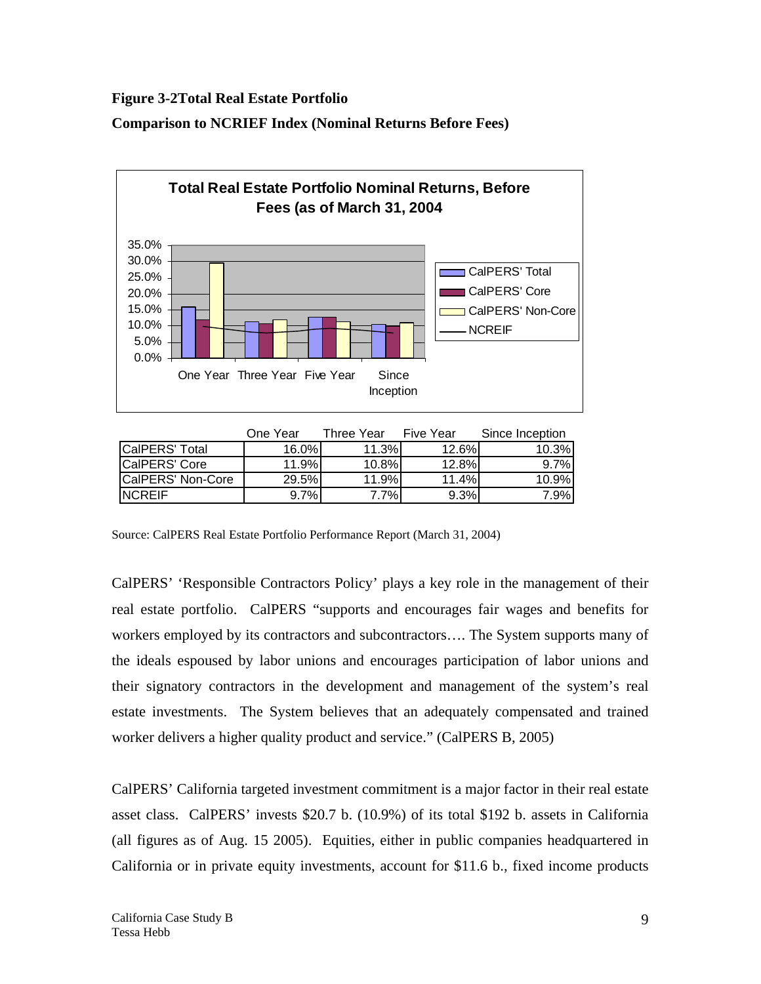**Figure 3-2Total Real Estate Portfolio** 

**Comparison to NCRIEF Index (Nominal Returns Before Fees)** 



|                       | One Year | Three Year | <b>Five Year</b> | Since Inception |
|-----------------------|----------|------------|------------------|-----------------|
| <b>CalPERS' Total</b> | 16.0%    | 11.3%      | 12.6%I           | 10.3%           |
| CalPERS' Core         | 11.9%    | 10.8%      | 12.8%            | 9.7%            |
| CalPERS' Non-Core     | 29.5%    | 11.9%      | 11.4%            | 10.9%           |
| <b>NCREIF</b>         | 9.7%     | 7.7%       | 9.3%             | 7.9%l           |

Source: CalPERS Real Estate Portfolio Performance Report (March 31, 2004)

CalPERS' 'Responsible Contractors Policy' plays a key role in the management of their real estate portfolio. CalPERS "supports and encourages fair wages and benefits for workers employed by its contractors and subcontractors…. The System supports many of the ideals espoused by labor unions and encourages participation of labor unions and their signatory contractors in the development and management of the system's real estate investments. The System believes that an adequately compensated and trained worker delivers a higher quality product and service." (CalPERS B, 2005)

CalPERS' California targeted investment commitment is a major factor in their real estate asset class. CalPERS' invests \$20.7 b. (10.9%) of its total \$192 b. assets in California (all figures as of Aug. 15 2005). Equities, either in public companies headquartered in California or in private equity investments, account for \$11.6 b., fixed income products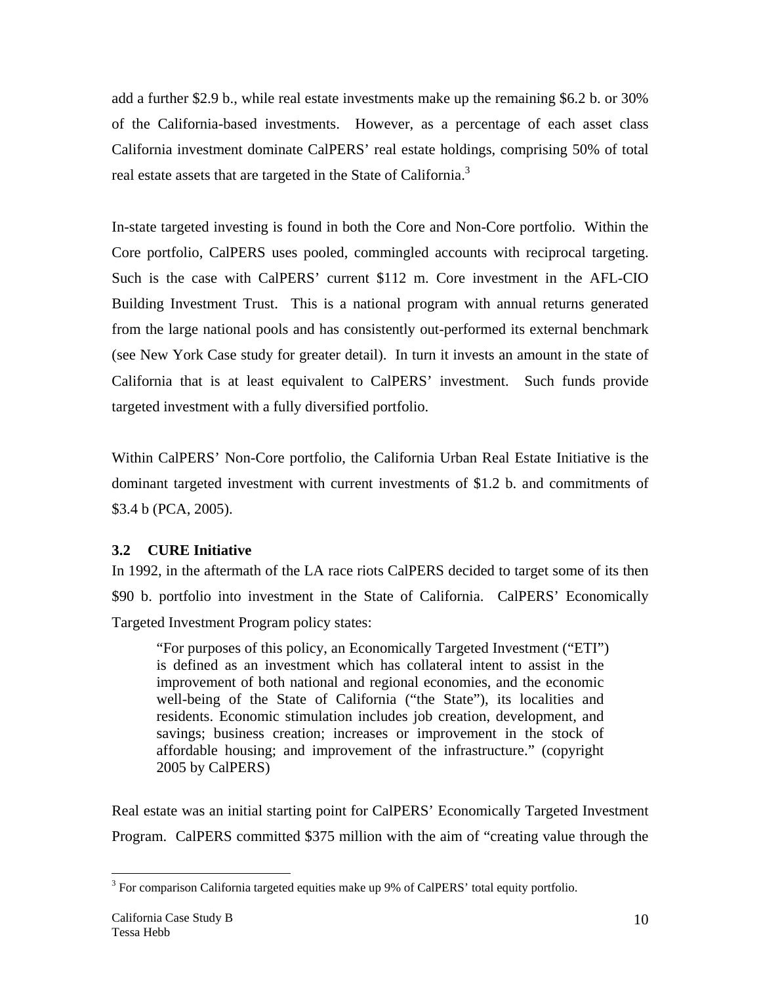add a further \$2.9 b., while real estate investments make up the remaining \$6.2 b. or 30% of the California-based investments. However, as a percentage of each asset class California investment dominate CalPERS' real estate holdings, comprising 50% of total real estate assets that are targeted in the State of California.<sup>3</sup>

In-state targeted investing is found in both the Core and Non-Core portfolio. Within the Core portfolio, CalPERS uses pooled, commingled accounts with reciprocal targeting. Such is the case with CalPERS' current \$112 m. Core investment in the AFL-CIO Building Investment Trust. This is a national program with annual returns generated from the large national pools and has consistently out-performed its external benchmark (see New York Case study for greater detail). In turn it invests an amount in the state of California that is at least equivalent to CalPERS' investment. Such funds provide targeted investment with a fully diversified portfolio.

Within CalPERS' Non-Core portfolio, the California Urban Real Estate Initiative is the dominant targeted investment with current investments of \$1.2 b. and commitments of \$3.4 b (PCA, 2005).

# **3.2 CURE Initiative**

In 1992, in the aftermath of the LA race riots CalPERS decided to target some of its then \$90 b. portfolio into investment in the State of California. CalPERS' Economically Targeted Investment Program policy states:

"For purposes of this policy, an Economically Targeted Investment ("ETI") is defined as an investment which has collateral intent to assist in the improvement of both national and regional economies, and the economic well-being of the State of California ("the State"), its localities and residents. Economic stimulation includes job creation, development, and savings; business creation; increases or improvement in the stock of affordable housing; and improvement of the infrastructure." (copyright 2005 by CalPERS)

Real estate was an initial starting point for CalPERS' Economically Targeted Investment Program. CalPERS committed \$375 million with the aim of "creating value through the

<sup>&</sup>lt;sup>3</sup> For comparison California targeted equities make up 9% of CalPERS' total equity portfolio.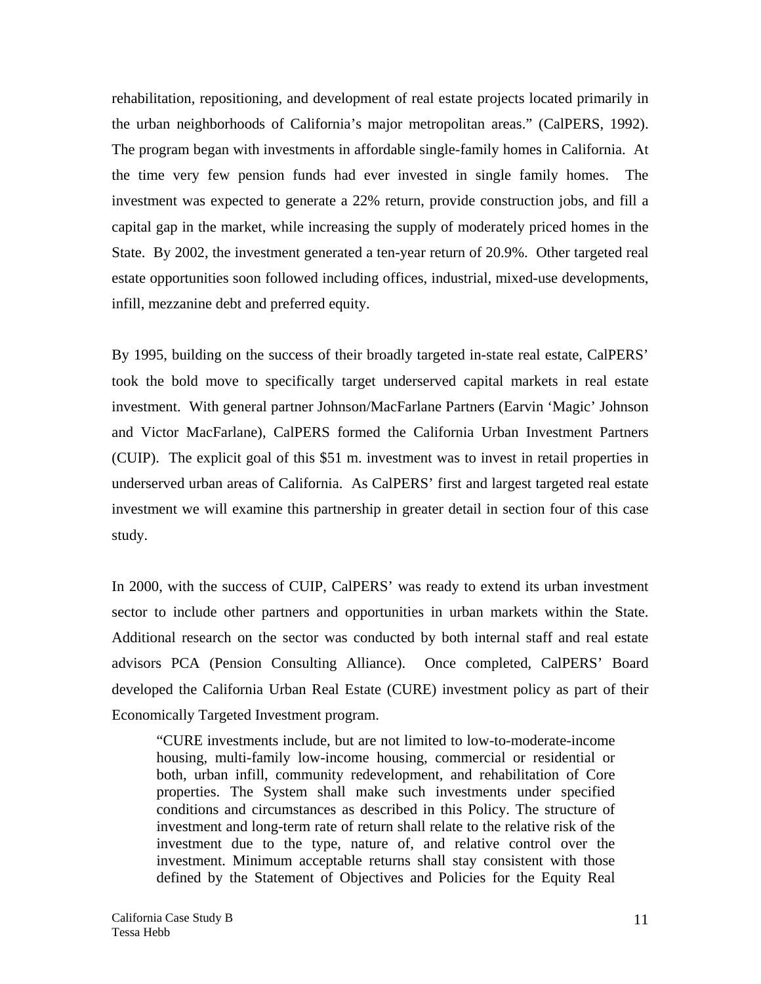rehabilitation, repositioning, and development of real estate projects located primarily in the urban neighborhoods of California's major metropolitan areas." (CalPERS, 1992). The program began with investments in affordable single-family homes in California. At the time very few pension funds had ever invested in single family homes. The investment was expected to generate a 22% return, provide construction jobs, and fill a capital gap in the market, while increasing the supply of moderately priced homes in the State. By 2002, the investment generated a ten-year return of 20.9%. Other targeted real estate opportunities soon followed including offices, industrial, mixed-use developments, infill, mezzanine debt and preferred equity.

By 1995, building on the success of their broadly targeted in-state real estate, CalPERS' took the bold move to specifically target underserved capital markets in real estate investment. With general partner Johnson/MacFarlane Partners (Earvin 'Magic' Johnson and Victor MacFarlane), CalPERS formed the California Urban Investment Partners (CUIP). The explicit goal of this \$51 m. investment was to invest in retail properties in underserved urban areas of California. As CalPERS' first and largest targeted real estate investment we will examine this partnership in greater detail in section four of this case study.

In 2000, with the success of CUIP, CalPERS' was ready to extend its urban investment sector to include other partners and opportunities in urban markets within the State. Additional research on the sector was conducted by both internal staff and real estate advisors PCA (Pension Consulting Alliance). Once completed, CalPERS' Board developed the California Urban Real Estate (CURE) investment policy as part of their Economically Targeted Investment program.

"CURE investments include, but are not limited to low-to-moderate-income housing, multi-family low-income housing, commercial or residential or both, urban infill, community redevelopment, and rehabilitation of Core properties. The System shall make such investments under specified conditions and circumstances as described in this Policy. The structure of investment and long-term rate of return shall relate to the relative risk of the investment due to the type, nature of, and relative control over the investment. Minimum acceptable returns shall stay consistent with those defined by the Statement of Objectives and Policies for the Equity Real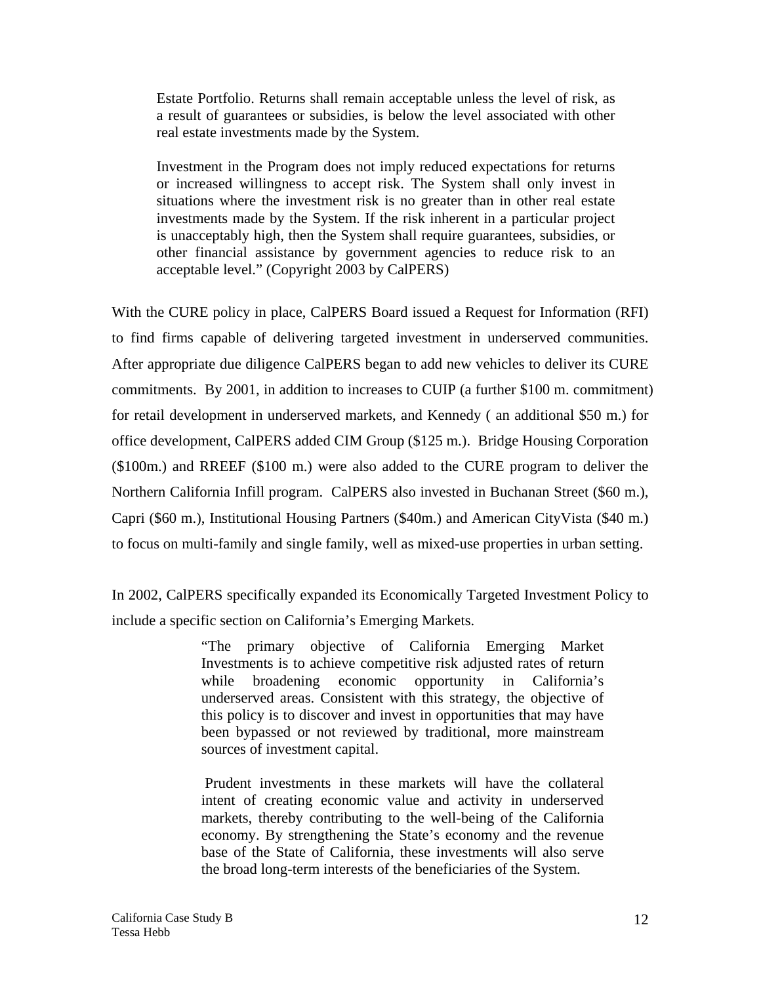Estate Portfolio. Returns shall remain acceptable unless the level of risk, as a result of guarantees or subsidies, is below the level associated with other real estate investments made by the System.

Investment in the Program does not imply reduced expectations for returns or increased willingness to accept risk. The System shall only invest in situations where the investment risk is no greater than in other real estate investments made by the System. If the risk inherent in a particular project is unacceptably high, then the System shall require guarantees, subsidies, or other financial assistance by government agencies to reduce risk to an acceptable level." (Copyright 2003 by CalPERS)

With the CURE policy in place, CalPERS Board issued a Request for Information (RFI) to find firms capable of delivering targeted investment in underserved communities. After appropriate due diligence CalPERS began to add new vehicles to deliver its CURE commitments. By 2001, in addition to increases to CUIP (a further \$100 m. commitment) for retail development in underserved markets, and Kennedy ( an additional \$50 m.) for office development, CalPERS added CIM Group (\$125 m.). Bridge Housing Corporation (\$100m.) and RREEF (\$100 m.) were also added to the CURE program to deliver the Northern California Infill program. CalPERS also invested in Buchanan Street (\$60 m.), Capri (\$60 m.), Institutional Housing Partners (\$40m.) and American CityVista (\$40 m.) to focus on multi-family and single family, well as mixed-use properties in urban setting.

In 2002, CalPERS specifically expanded its Economically Targeted Investment Policy to include a specific section on California's Emerging Markets.

> "The primary objective of California Emerging Market Investments is to achieve competitive risk adjusted rates of return while broadening economic opportunity in California's underserved areas. Consistent with this strategy, the objective of this policy is to discover and invest in opportunities that may have been bypassed or not reviewed by traditional, more mainstream sources of investment capital.

> Prudent investments in these markets will have the collateral intent of creating economic value and activity in underserved markets, thereby contributing to the well-being of the California economy. By strengthening the State's economy and the revenue base of the State of California, these investments will also serve the broad long-term interests of the beneficiaries of the System.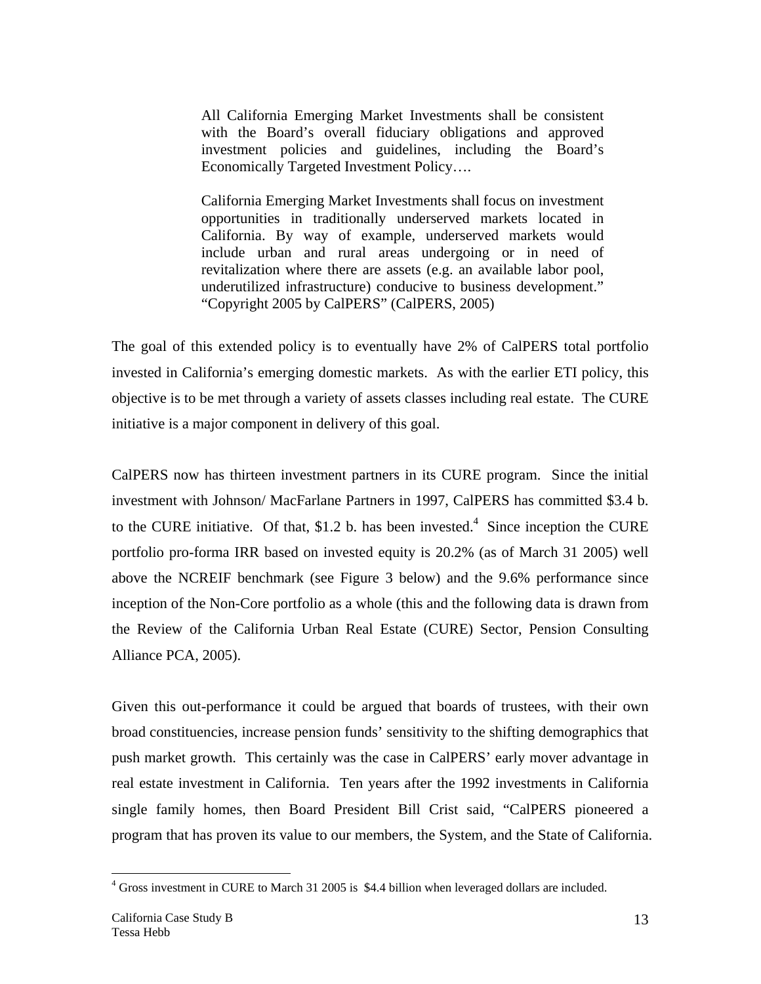All California Emerging Market Investments shall be consistent with the Board's overall fiduciary obligations and approved investment policies and guidelines, including the Board's Economically Targeted Investment Policy….

California Emerging Market Investments shall focus on investment opportunities in traditionally underserved markets located in California. By way of example, underserved markets would include urban and rural areas undergoing or in need of revitalization where there are assets (e.g. an available labor pool, underutilized infrastructure) conducive to business development." "Copyright 2005 by CalPERS" (CalPERS, 2005)

The goal of this extended policy is to eventually have 2% of CalPERS total portfolio invested in California's emerging domestic markets. As with the earlier ETI policy, this objective is to be met through a variety of assets classes including real estate. The CURE initiative is a major component in delivery of this goal.

CalPERS now has thirteen investment partners in its CURE program. Since the initial investment with Johnson/ MacFarlane Partners in 1997, CalPERS has committed \$3.4 b. to the CURE initiative. Of that, \$1.2 b. has been invested.<sup>4</sup> Since inception the CURE portfolio pro-forma IRR based on invested equity is 20.2% (as of March 31 2005) well above the NCREIF benchmark (see Figure 3 below) and the 9.6% performance since inception of the Non-Core portfolio as a whole (this and the following data is drawn from the Review of the California Urban Real Estate (CURE) Sector, Pension Consulting Alliance PCA, 2005).

Given this out-performance it could be argued that boards of trustees, with their own broad constituencies, increase pension funds' sensitivity to the shifting demographics that push market growth. This certainly was the case in CalPERS' early mover advantage in real estate investment in California. Ten years after the 1992 investments in California single family homes, then Board President Bill Crist said, "CalPERS pioneered a program that has proven its value to our members, the System, and the State of California.

 $\overline{a}$ <sup>4</sup> Gross investment in CURE to March 31 2005 is \$4.4 billion when leveraged dollars are included.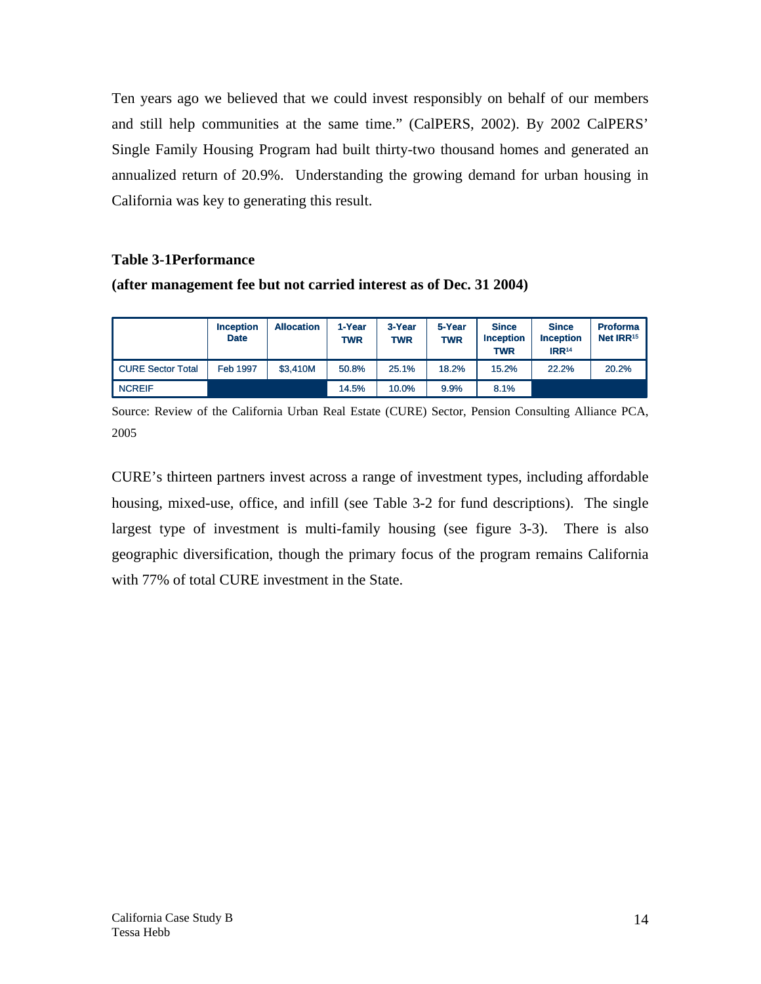Ten years ago we believed that we could invest responsibly on behalf of our members and still help communities at the same time." (CalPERS, 2002). By 2002 CalPERS' Single Family Housing Program had built thirty-two thousand homes and generated an annualized return of 20.9%. Understanding the growing demand for urban housing in California was key to generating this result.

## **Table 3-1Performance**

**(after management fee but not carried interest as of Dec. 31 2004)** 

|                          | <b>Inception</b><br><b>Date</b> | <b>Allocation</b> | 1-Year<br>TWR | 3-Year<br><b>TWR</b> | 5-Year<br><b>TWR</b> | <b>Since</b><br><b>Inception</b><br><b>TWR</b> | <b>Since</b><br><b>Inception</b><br><b>IRR14</b> | <b>Proforma</b><br>Net IRR <sup>15</sup> |
|--------------------------|---------------------------------|-------------------|---------------|----------------------|----------------------|------------------------------------------------|--------------------------------------------------|------------------------------------------|
| <b>CURE Sector Total</b> | <b>Feb 1997</b>                 | \$3.410M          | 50.8%         | 25.1%                | 18.2%                | 15.2%                                          | 22.2%                                            | 20.2%                                    |
| <b>NCREIF</b>            |                                 |                   | 14.5%         | 10.0%                | 9.9%                 | 8.1%                                           |                                                  |                                          |

Source: Review of the California Urban Real Estate (CURE) Sector, Pension Consulting Alliance PCA, 2005

CURE's thirteen partners invest across a range of investment types, including affordable housing, mixed-use, office, and infill (see Table 3-2 for fund descriptions). The single largest type of investment is multi-family housing (see figure 3-3). There is also geographic diversification, though the primary focus of the program remains California with 77% of total CURE investment in the State.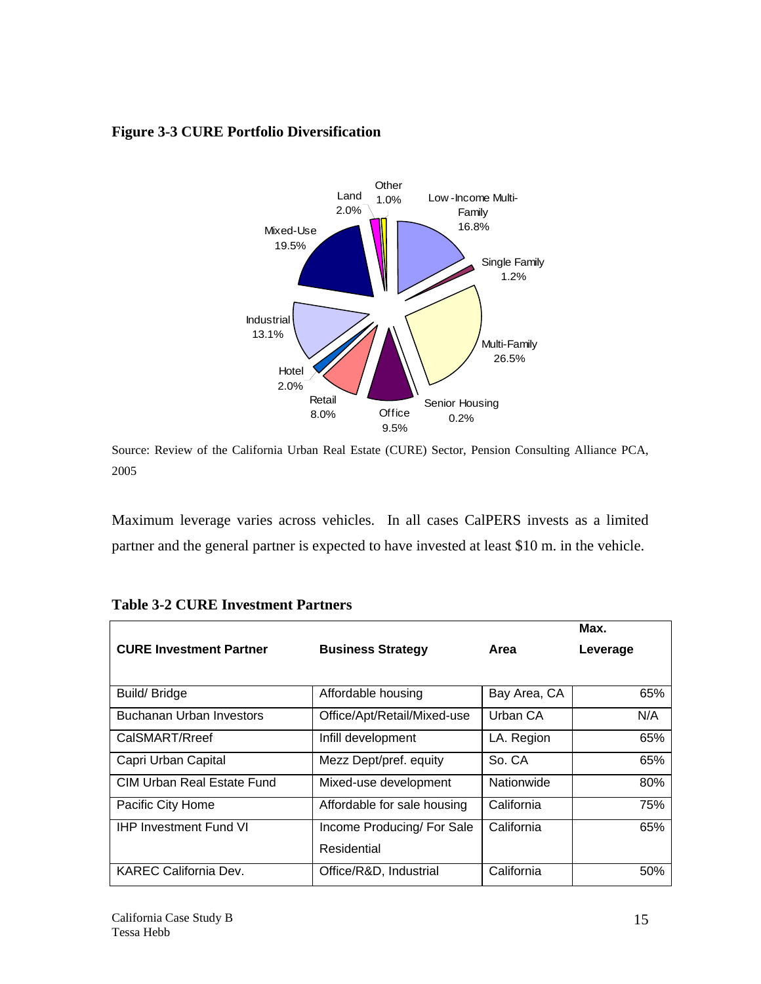# **Figure 3-3 CURE Portfolio Diversification**



Source: Review of the California Urban Real Estate (CURE) Sector, Pension Consulting Alliance PCA, 2005

Maximum leverage varies across vehicles. In all cases CalPERS invests as a limited partner and the general partner is expected to have invested at least \$10 m. in the vehicle.

|                                   |                             |              | Max.     |
|-----------------------------------|-----------------------------|--------------|----------|
| <b>CURE Investment Partner</b>    | <b>Business Strategy</b>    | Area         | Leverage |
|                                   |                             |              |          |
| Build/Bridge                      | Affordable housing          | Bay Area, CA | 65%      |
| <b>Buchanan Urban Investors</b>   | Office/Apt/Retail/Mixed-use | Urban CA     | N/A      |
| CalSMART/Rreef                    | Infill development          | LA. Region   | 65%      |
| Capri Urban Capital               | Mezz Dept/pref. equity      | So. CA       | 65%      |
| <b>CIM Urban Real Estate Fund</b> | Mixed-use development       | Nationwide   | 80%      |
| Pacific City Home                 | Affordable for sale housing | California   | 75%      |
| <b>IHP Investment Fund VI</b>     | Income Producing/ For Sale  | California   | 65%      |
|                                   | Residential                 |              |          |
| <b>KAREC California Dev.</b>      | Office/R&D, Industrial      | California   | 50%      |

|  |  | <b>Table 3-2 CURE Investment Partners</b> |  |
|--|--|-------------------------------------------|--|
|--|--|-------------------------------------------|--|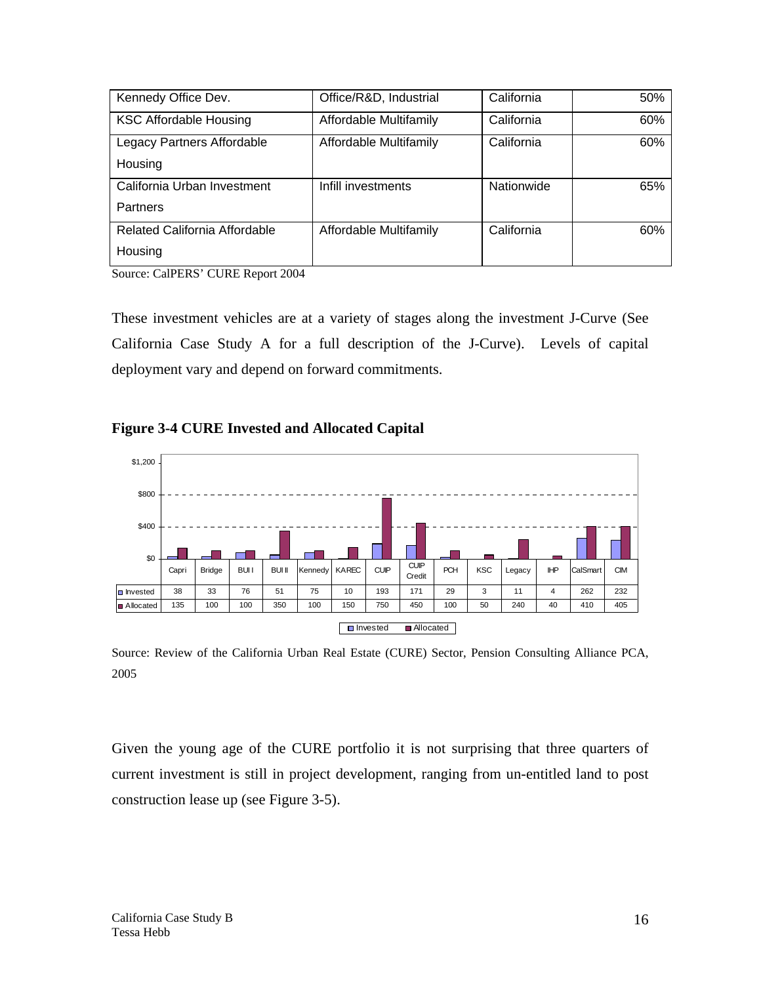| Kennedy Office Dev.           | Office/R&D, Industrial | California | 50% |
|-------------------------------|------------------------|------------|-----|
| <b>KSC Affordable Housing</b> | Affordable Multifamily | California | 60% |
| Legacy Partners Affordable    | Affordable Multifamily | California | 60% |
| Housing                       |                        |            |     |
| California Urban Investment   | Infill investments     | Nationwide | 65% |
| <b>Partners</b>               |                        |            |     |
| Related California Affordable | Affordable Multifamily | California | 60% |
| Housing                       |                        |            |     |

Source: CalPERS' CURE Report 2004

These investment vehicles are at a variety of stages along the investment J-Curve (See California Case Study A for a full description of the J-Curve). Levels of capital deployment vary and depend on forward commitments.

# **Figure 3-4 CURE Invested and Allocated Capital**



Source: Review of the California Urban Real Estate (CURE) Sector, Pension Consulting Alliance PCA, 2005

Given the young age of the CURE portfolio it is not surprising that three quarters of current investment is still in project development, ranging from un-entitled land to post construction lease up (see Figure 3-5).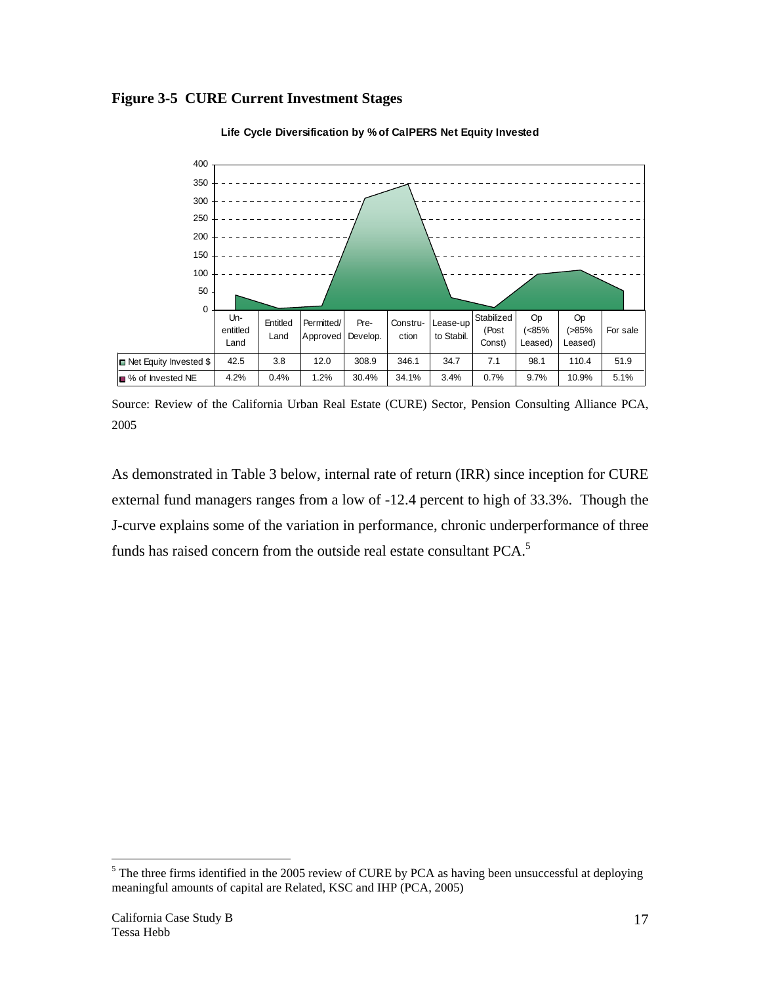



**Life Cycle Diversification by % of CalPERS Net Equity Invested**

As demonstrated in Table 3 below, internal rate of return (IRR) since inception for CURE external fund managers ranges from a low of -12.4 percent to high of 33.3%. Though the J-curve explains some of the variation in performance, chronic underperformance of three funds has raised concern from the outside real estate consultant PCA.<sup>5</sup>

 $\overline{a}$ 

Source: Review of the California Urban Real Estate (CURE) Sector, Pension Consulting Alliance PCA, 2005

 $<sup>5</sup>$  The three firms identified in the 2005 review of CURE by PCA as having been unsuccessful at deploying</sup> meaningful amounts of capital are Related, KSC and IHP (PCA, 2005)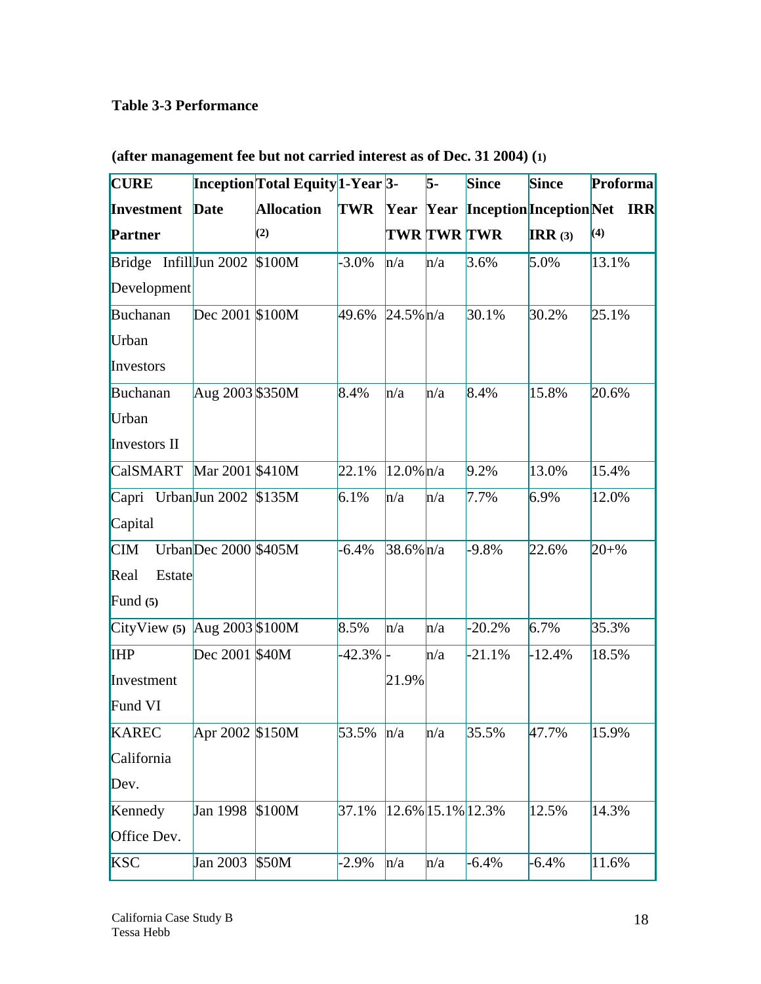# **Table 3-3 Performance**

| <b>CURE</b>                      |                      | Inception Total Equity 1-Year 3- |            |                   | $\overline{5}$ - | <b>Since</b> | <b>Since</b> | <b>Proforma</b>                       |
|----------------------------------|----------------------|----------------------------------|------------|-------------------|------------------|--------------|--------------|---------------------------------------|
| Investment                       | <b>Date</b>          | <b>Allocation</b>                | <b>TWR</b> |                   |                  |              |              | Year Year Inception Inception Net IRR |
| <b>Partner</b>                   |                      | (2)                              |            | TWR TWR TWR       |                  |              | IRR $(3)$    | (4)                                   |
| Bridge Infill $\text{Jun } 2002$ |                      | \$100M                           | $-3.0\%$   | h/a               | n/a              | 3.6%         | 5.0%         | 13.1%                                 |
| Development                      |                      |                                  |            |                   |                  |              |              |                                       |
| Buchanan                         | Dec 2001 \$100M      |                                  | 49.6%      | $24.5\%$ n/a      |                  | 30.1%        | 30.2%        | 25.1%                                 |
| Urban                            |                      |                                  |            |                   |                  |              |              |                                       |
| Investors                        |                      |                                  |            |                   |                  |              |              |                                       |
| Buchanan                         | Aug 2003 \$350M      |                                  | 8.4%       | h/a               | n/a              | 8.4%         | 15.8%        | 20.6%                                 |
| Urban                            |                      |                                  |            |                   |                  |              |              |                                       |
| Investors II                     |                      |                                  |            |                   |                  |              |              |                                       |
| <b>CalSMART</b>                  | Mar 2001 \$410M      |                                  | 22.1%      | $12.0\%$ n/a      |                  | 9.2%         | 13.0%        | 15.4%                                 |
| Capri UrbanJun 2002 \$135M       |                      |                                  | 6.1%       | n/a               | n/a              | 7.7%         | 6.9%         | 12.0%                                 |
| Capital                          |                      |                                  |            |                   |                  |              |              |                                       |
| $\mathbf{CIM}$                   | UrbanDec 2000 \$405M |                                  | $-6.4%$    | $38.6\%$ n/a      |                  | $-9.8%$      | 22.6%        | $20 + \%$                             |
| Real<br>Estate                   |                      |                                  |            |                   |                  |              |              |                                       |
| Fund $(5)$                       |                      |                                  |            |                   |                  |              |              |                                       |
| CityView $(5)$ Aug 2003 \$100M   |                      |                                  | 8.5%       | h/a               | $\ln/a$          | $-20.2%$     | 6.7%         | 35.3%                                 |
| <b>IHP</b>                       | Dec 2001 \$40M       |                                  | $-42.3\%$  |                   | n/a              | $-21.1%$     | $-12.4%$     | 18.5%                                 |
| Investment                       |                      |                                  |            | 21.9%             |                  |              |              |                                       |
| Fund VI                          |                      |                                  |            |                   |                  |              |              |                                       |
| <b>KAREC</b>                     | Apr 2002 \$150M      |                                  | 53.5%      | n/a               | n/a              | 35.5%        | 47.7%        | 15.9%                                 |
| California                       |                      |                                  |            |                   |                  |              |              |                                       |
| Dev.                             |                      |                                  |            |                   |                  |              |              |                                       |
| Kennedy                          | Jan 1998             | \$100M                           | 37.1%      | 12.6% 15.1% 12.3% |                  |              | 12.5%        | 14.3%                                 |
| Office Dev.                      |                      |                                  |            |                   |                  |              |              |                                       |
| <b>KSC</b>                       | Jan 2003             | \$50M                            | $-2.9%$    | n/a               | n/a              | $-6.4%$      | $-6.4%$      | 11.6%                                 |

**(after management fee but not carried interest as of Dec. 31 2004) (1)**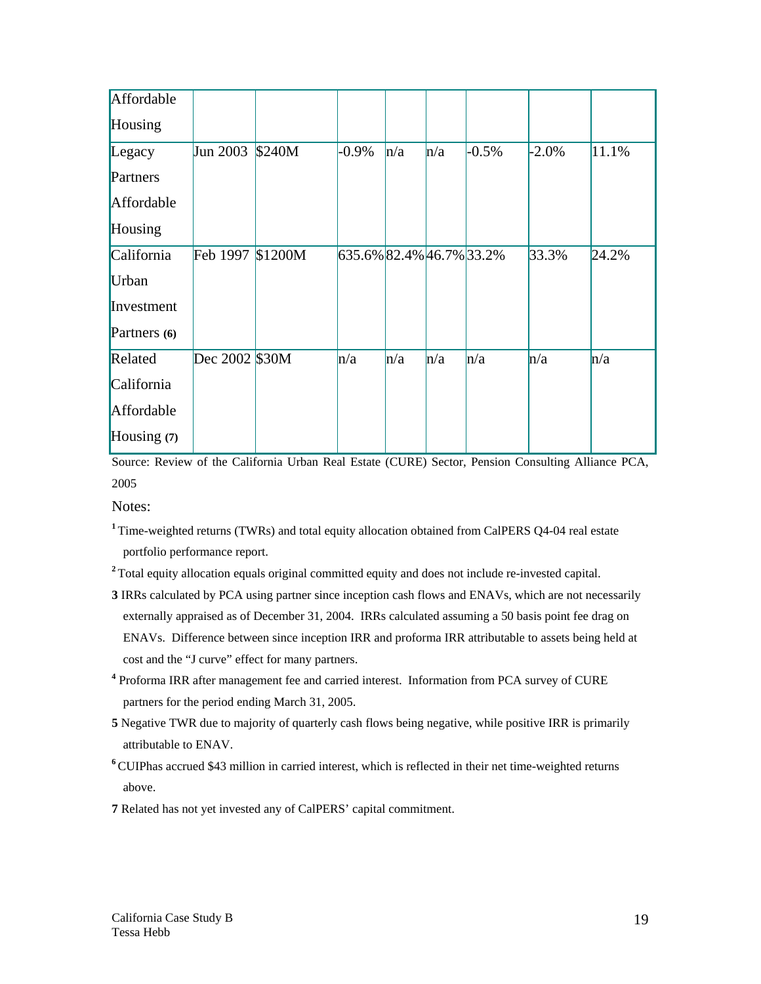| Affordable   |                  |        |                          |     |     |         |          |       |
|--------------|------------------|--------|--------------------------|-----|-----|---------|----------|-------|
| Housing      |                  |        |                          |     |     |         |          |       |
| Legacy       | Jun 2003         | \$240M | $-0.9\%$                 | n/a | n/a | $-0.5%$ | $-2.0\%$ | 11.1% |
| Partners     |                  |        |                          |     |     |         |          |       |
| Affordable   |                  |        |                          |     |     |         |          |       |
| Housing      |                  |        |                          |     |     |         |          |       |
| California   | Feb 1997 \$1200M |        | 635.6% 82.4% 46.7% 33.2% |     |     |         | 33.3%    | 24.2% |
| Urban        |                  |        |                          |     |     |         |          |       |
| Investment   |                  |        |                          |     |     |         |          |       |
| Partners (6) |                  |        |                          |     |     |         |          |       |
| Related      | Dec 2002 \$30M   |        | n/a                      | n/a | n/a | h/a     | n/a      | n/a   |
| California   |                  |        |                          |     |     |         |          |       |
| Affordable   |                  |        |                          |     |     |         |          |       |
| Housing (7)  |                  |        |                          |     |     |         |          |       |

Source: Review of the California Urban Real Estate (CURE) Sector, Pension Consulting Alliance PCA, 2005

Notes:

- <sup>1</sup> Time-weighted returns (TWRs) and total equity allocation obtained from CalPERS Q4-04 real estate portfolio performance report.
- <sup>2</sup> Total equity allocation equals original committed equity and does not include re-invested capital.
- **3** IRRs calculated by PCA using partner since inception cash flows and ENAVs, which are not necessarily externally appraised as of December 31, 2004. IRRs calculated assuming a 50 basis point fee drag on ENAVs. Difference between since inception IRR and proforma IRR attributable to assets being held at cost and the "J curve" effect for many partners.
- <sup>4</sup> Proforma IRR after management fee and carried interest. Information from PCA survey of CURE partners for the period ending March 31, 2005.
- **5** Negative TWR due to majority of quarterly cash flows being negative, while positive IRR is primarily attributable to ENAV.
- <sup>6</sup>CUIPhas accrued \$43 million in carried interest, which is reflected in their net time-weighted returns above.
- **7** Related has not yet invested any of CalPERS' capital commitment.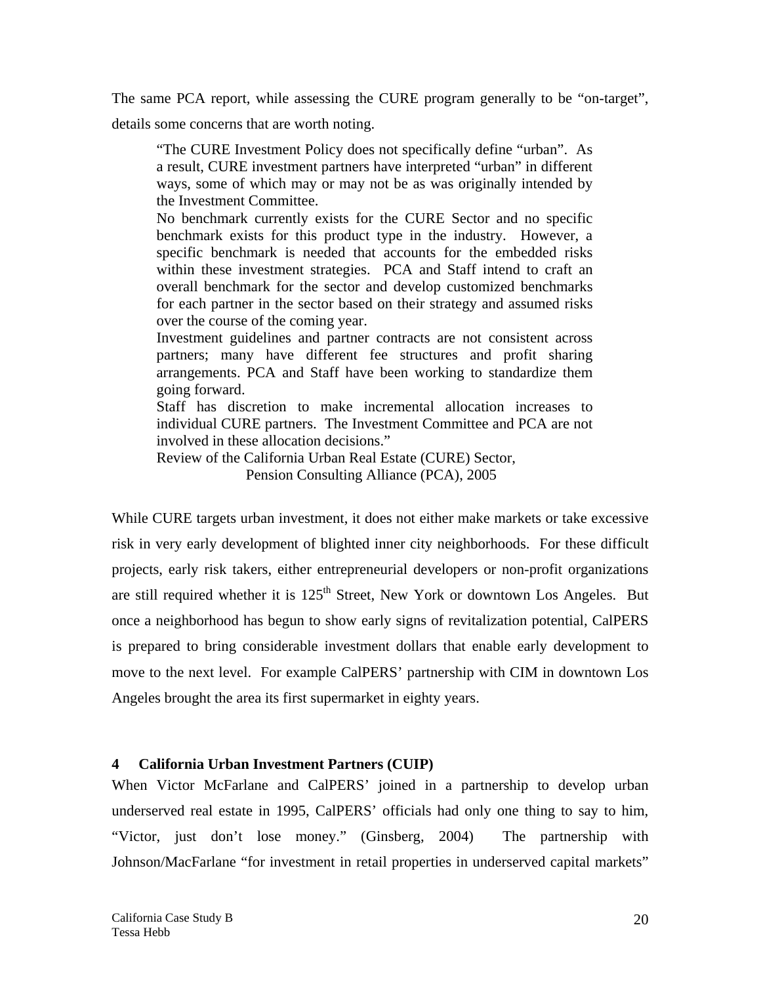The same PCA report, while assessing the CURE program generally to be "on-target",

details some concerns that are worth noting.

"The CURE Investment Policy does not specifically define "urban". As a result, CURE investment partners have interpreted "urban" in different ways, some of which may or may not be as was originally intended by the Investment Committee.

No benchmark currently exists for the CURE Sector and no specific benchmark exists for this product type in the industry. However, a specific benchmark is needed that accounts for the embedded risks within these investment strategies. PCA and Staff intend to craft an overall benchmark for the sector and develop customized benchmarks for each partner in the sector based on their strategy and assumed risks over the course of the coming year.

Investment guidelines and partner contracts are not consistent across partners; many have different fee structures and profit sharing arrangements. PCA and Staff have been working to standardize them going forward.

Staff has discretion to make incremental allocation increases to individual CURE partners. The Investment Committee and PCA are not involved in these allocation decisions."

Review of the California Urban Real Estate (CURE) Sector, Pension Consulting Alliance (PCA), 2005

While CURE targets urban investment, it does not either make markets or take excessive risk in very early development of blighted inner city neighborhoods. For these difficult projects, early risk takers, either entrepreneurial developers or non-profit organizations are still required whether it is  $125<sup>th</sup>$  Street, New York or downtown Los Angeles. But once a neighborhood has begun to show early signs of revitalization potential, CalPERS is prepared to bring considerable investment dollars that enable early development to move to the next level. For example CalPERS' partnership with CIM in downtown Los Angeles brought the area its first supermarket in eighty years.

# **4 California Urban Investment Partners (CUIP)**

When Victor McFarlane and CalPERS' joined in a partnership to develop urban underserved real estate in 1995, CalPERS' officials had only one thing to say to him, "Victor, just don't lose money." (Ginsberg, 2004) The partnership with Johnson/MacFarlane "for investment in retail properties in underserved capital markets"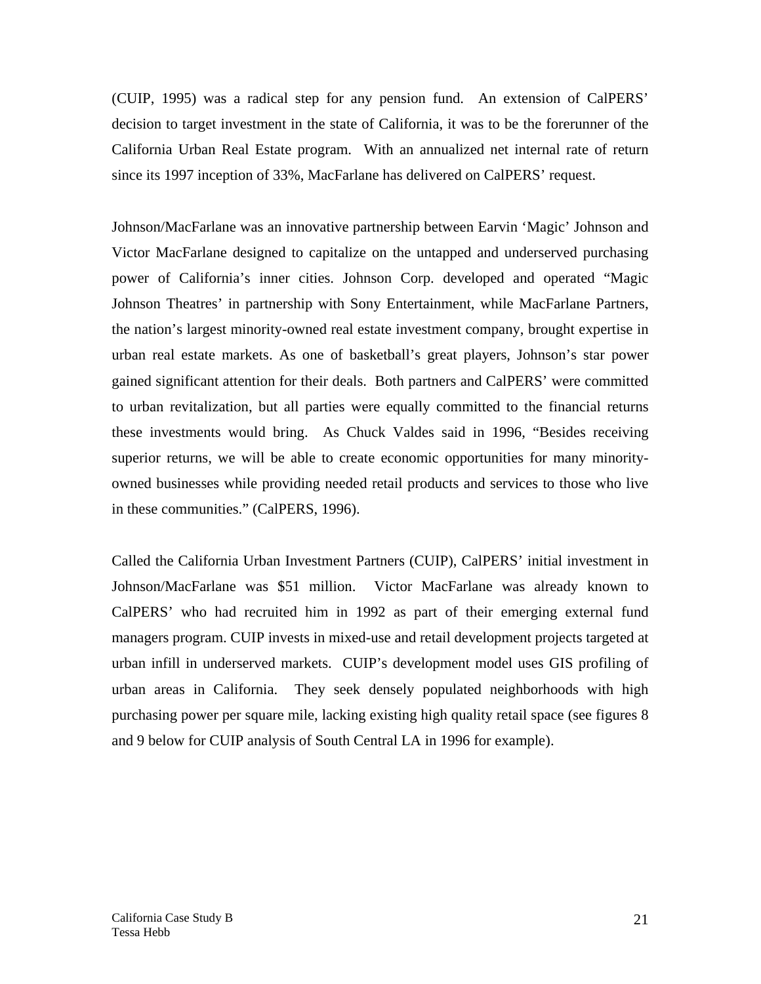(CUIP, 1995) was a radical step for any pension fund. An extension of CalPERS' decision to target investment in the state of California, it was to be the forerunner of the California Urban Real Estate program. With an annualized net internal rate of return since its 1997 inception of 33%, MacFarlane has delivered on CalPERS' request.

Johnson/MacFarlane was an innovative partnership between Earvin 'Magic' Johnson and Victor MacFarlane designed to capitalize on the untapped and underserved purchasing power of California's inner cities. Johnson Corp. developed and operated "Magic Johnson Theatres' in partnership with Sony Entertainment, while MacFarlane Partners, the nation's largest minority-owned real estate investment company, brought expertise in urban real estate markets. As one of basketball's great players, Johnson's star power gained significant attention for their deals. Both partners and CalPERS' were committed to urban revitalization, but all parties were equally committed to the financial returns these investments would bring. As Chuck Valdes said in 1996, "Besides receiving superior returns, we will be able to create economic opportunities for many minorityowned businesses while providing needed retail products and services to those who live in these communities." (CalPERS, 1996).

Called the California Urban Investment Partners (CUIP), CalPERS' initial investment in Johnson/MacFarlane was \$51 million. Victor MacFarlane was already known to CalPERS' who had recruited him in 1992 as part of their emerging external fund managers program. CUIP invests in mixed-use and retail development projects targeted at urban infill in underserved markets. CUIP's development model uses GIS profiling of urban areas in California. They seek densely populated neighborhoods with high purchasing power per square mile, lacking existing high quality retail space (see figures 8 and 9 below for CUIP analysis of South Central LA in 1996 for example).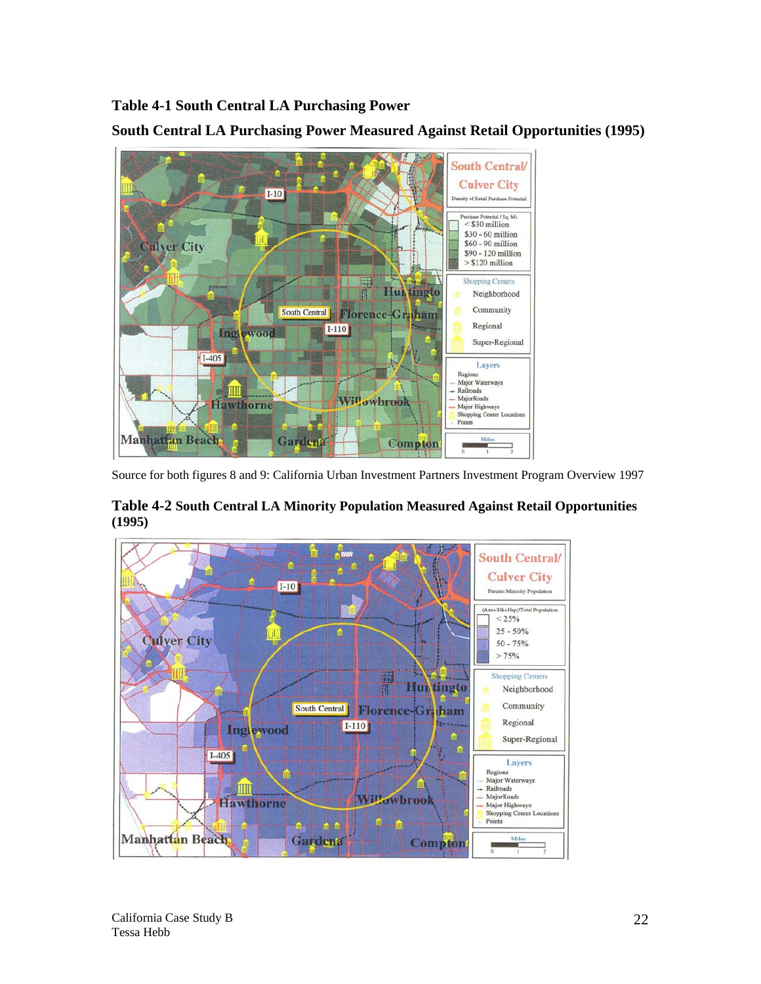**Table 4-1 South Central LA Purchasing Power** 



**South Central LA Purchasing Power Measured Against Retail Opportunities (1995)** 

Source for both figures 8 and 9: California Urban Investment Partners Investment Program Overview 1997



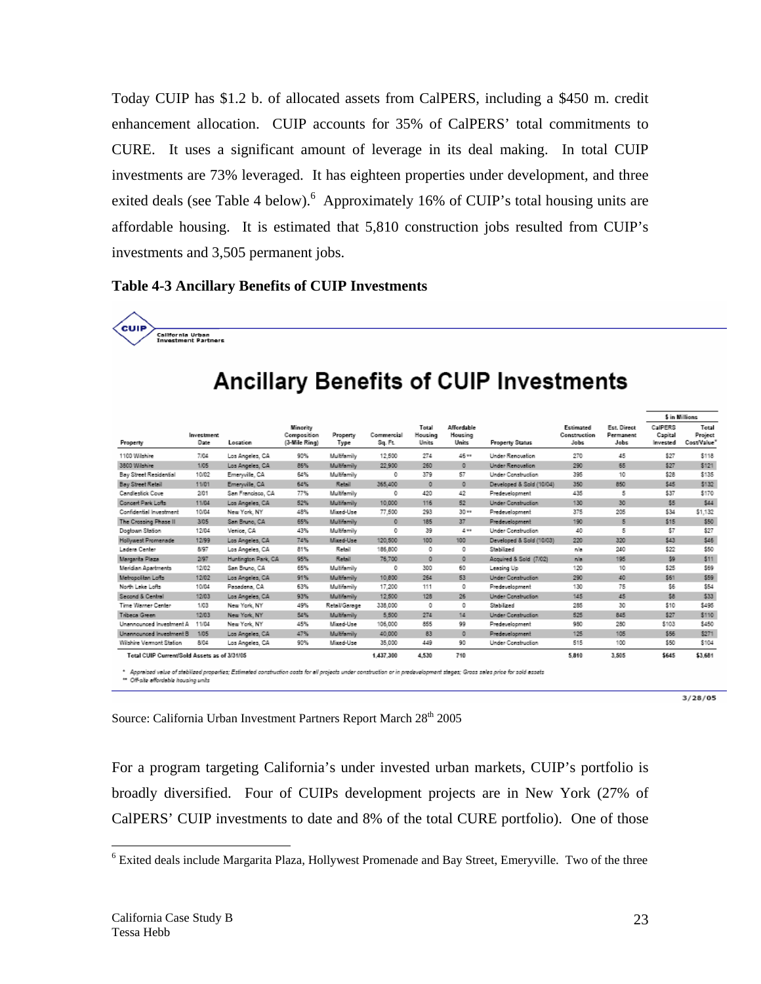Today CUIP has \$1.2 b. of allocated assets from CalPERS, including a \$450 m. credit enhancement allocation. CUIP accounts for 35% of CalPERS' total commitments to CURE. It uses a significant amount of leverage in its deal making. In total CUIP investments are 73% leveraged. It has eighteen properties under development, and three exited deals (see Table 4 below). Approximately 16% of CUIP's total housing units are affordable housing. It is estimated that 5,810 construction jobs resulted from CUIP's investments and 3,505 permanent jobs.

#### **Table 4-3 Ancillary Benefits of CUIP Investments**

**California Urban<br>Investment Ractners** 

| Property                                     | <b>Investment</b><br>Date | Location            | Minority<br>Composition<br>(3-Mile Ring) | Property<br>Type | Commercial<br>Sq. Ft. | Total<br>Housing<br><b>Units</b> | Affordable<br>Housing<br>Units | <b>Property Status</b>    | Estimated<br>Construction<br>Jobs | Est. Direct<br>Permanent<br>Jobs | CalPERS<br>Capital<br>Invested | Total<br>Project<br>Cost/Value |
|----------------------------------------------|---------------------------|---------------------|------------------------------------------|------------------|-----------------------|----------------------------------|--------------------------------|---------------------------|-----------------------------------|----------------------------------|--------------------------------|--------------------------------|
| 1100 Wilshire                                | 7/04                      | Los Angeles, CA     | 90%                                      | Multifamily      | 12,500                | 274                              | 46 **                          | Under Renovation          | 270                               | 45                               | \$27                           | \$118                          |
| 3800 Wilshire                                | 1/05                      | Los Angeles, CA     | 86%                                      | Multifamily      | 22 900                | 260                              | $\circ$                        | Under Renovation          | 290                               | 65                               | \$27                           | \$121                          |
| Bay Street Residential                       | 10/02                     | Emerwile, CA        | 64%                                      | Multifamily      | o                     | 379                              | 57                             | Under Construction        | 395                               | 10                               | \$28                           | \$135                          |
| <b>Bay Street Retail</b>                     | 11/01                     | Emerwile, CA        | 64%                                      | Retail           | 365,400               | $\circ$                          | $\circ$                        | Developed & Sold (10/04)  | 350                               | 850                              | \$45                           | \$132                          |
| Candlestick Cove                             | 201                       | San Francisco, CA   | 77%                                      | Multifamily      | 0                     | 420                              | 42                             | Predevelopment            | 435                               | 5                                | \$37                           | \$170                          |
| Concert Park Lofts                           | 11/04                     | Los Angeles, CA     | 52%                                      | Multifamily      | 10,000                | 116                              | 52                             | <b>Under Construction</b> | 130                               | 30                               | \$5                            | \$44                           |
| Confidential Investment                      | 10/04                     | New York, NY        | 48%                                      | Mixed-Use        | 77,500                | 293                              | $30 -$                         | Predevelopment            | 375                               | 205                              | \$34                           | \$1,132                        |
| The Crossing Phase II                        | 3/05                      | San Bruno, CA       | 65%                                      | Multifamily      | $\circ$               | 185                              | 37                             | Predevelopment            | 190                               | 5                                | \$15                           | \$50                           |
| Dogtown Station                              | 12/04                     | Venice, CA          | 43%                                      | Multifamily      | 0                     | 39                               | $4 +$                          | Under Construction        | 40                                | 5                                | \$7                            | \$27                           |
| Hollywest Promenade                          | 12/99                     | Los Angeles, CA     | 74%                                      | Mixed-Use        | 120,500               | 100                              | 100                            | Developed & Sold (10/03)  | 220                               | 320                              | \$43                           | \$46                           |
| Ladera Center                                | 8/97                      | Los Angeles, CA     | 81%                                      | Retail           | 185,800               | 0                                | 0                              | Stabilized                | n/a                               | 240                              | \$22                           | \$50                           |
| Margarita Plaza                              | 2/97                      | Huntington Park, CA | 95%                                      | Retail           | 76,700                | $\circ$                          | $\circ$                        | Acquired & Sold (7/02)    | n/a                               | 195                              | \$9                            | \$11                           |
| Meridian Apartments                          | 12/02                     | San Bruno, CA       | 65%                                      | Multifamily      | 0                     | 300                              | 60                             | Leasing Up                | 120                               | 10                               | \$25                           | \$69                           |
| Metropolitan Lofts                           | 12/02                     | Los Angeles, CA     | 91%                                      | Multitamily      | 10,800                | 264                              | 53                             | Under Construction        | 290                               | 40                               | \$61                           | \$59                           |
| North Lake Lofts                             | 10/04                     | Pasadena, CA        | 63%                                      | Multifamily      | 17.200                | 111                              | o                              | Predevelopment            | 130                               | 75                               | \$6                            | \$54                           |
| Second & Central                             | 12/03                     | Los Angeles, CA     | 93%                                      | Multifamily      | 12,500                | 128                              | 26                             | Under Construction        | 145                               | 45                               | \$8                            | \$33                           |
| Time Warner Center                           | 1/03                      | New York, NY        | 49%                                      | Retail/Garage    | 338.000               | o                                | o                              | Stabilized                | 285                               | 30                               | \$10                           | \$495                          |
| Tribeca Green                                | 12/03                     | New York, NY        | 54%                                      | Multifamily      | 5.500                 | 274                              | 14                             | Under Construction        | 525                               | 845                              | \$27                           | \$110                          |
| Unannounced Investment A                     | 11/04                     | New York, NY        | 45%                                      | Mixed-Use        | 106,000               | 855                              | 99                             | Predevelopment            | 980                               | 280                              | \$103                          | \$450                          |
| Unannounced Investment B                     | 1/05                      | Los Angeles, CA     | 47%                                      | Multitamily      | 40.000                | 83                               | $\circ$                        | Predevelopment            | 125                               | 105                              | \$55                           | \$271                          |
| Wilshire Vermont Station                     | 8/04                      | Los Angeles, CA     | 90%                                      | Mixed-Use        | 35,000                | 449                              | 90                             | Under Construction        | 515                               | 100                              | \$50                           | \$104                          |
| Total CUIP Current/Sold Assets as of 3/31/05 |                           |                     |                                          |                  | 1,437.300             | 4,530                            | 710                            |                           | 5.810                             | 3.505                            | \$645                          | \$3,681                        |

# **Ancillary Benefits of CUIP Investments**

Apprensed veiwe or steamzed pro.<br>Off-site effordable housing units

 $3/28/05$ 

Source: California Urban Investment Partners Report March 28<sup>th</sup> 2005

\$ in Millions

For a program targeting California's under invested urban markets, CUIP's portfolio is broadly diversified. Four of CUIPs development projects are in New York (27% of CalPERS' CUIP investments to date and 8% of the total CURE portfolio). One of those

 $\overline{a}$ 

<sup>&</sup>lt;sup>6</sup> Exited deals include Margarita Plaza, Hollywest Promenade and Bay Street, Emeryville. Two of the three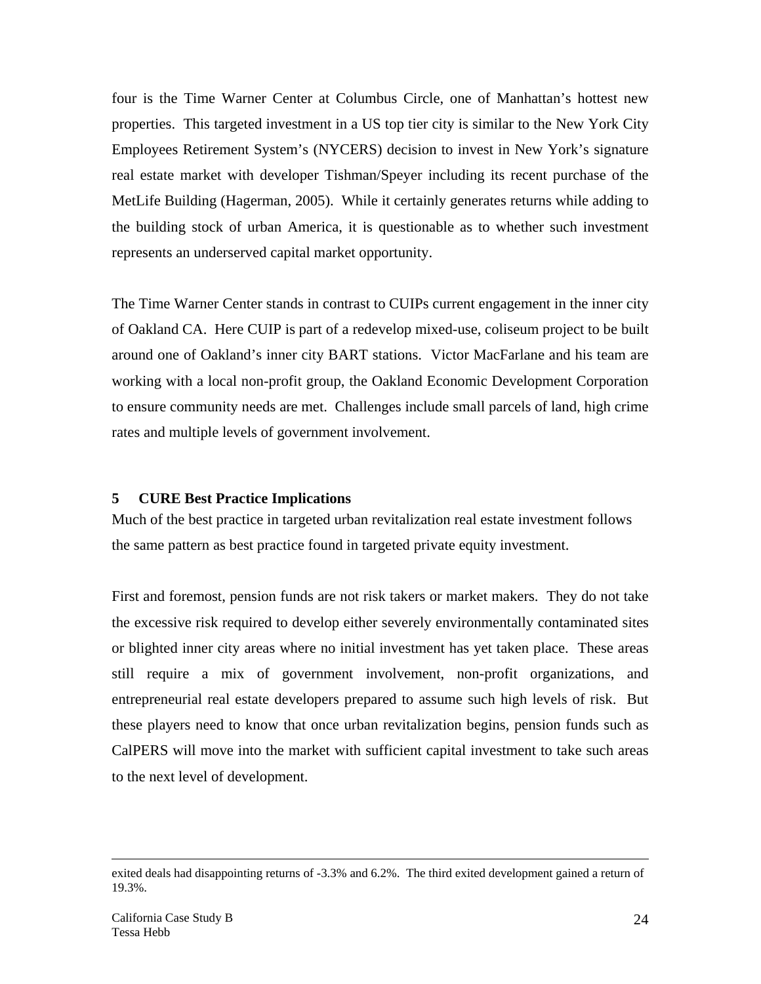four is the Time Warner Center at Columbus Circle, one of Manhattan's hottest new properties. This targeted investment in a US top tier city is similar to the New York City Employees Retirement System's (NYCERS) decision to invest in New York's signature real estate market with developer Tishman/Speyer including its recent purchase of the MetLife Building (Hagerman, 2005). While it certainly generates returns while adding to the building stock of urban America, it is questionable as to whether such investment represents an underserved capital market opportunity.

The Time Warner Center stands in contrast to CUIPs current engagement in the inner city of Oakland CA. Here CUIP is part of a redevelop mixed-use, coliseum project to be built around one of Oakland's inner city BART stations. Victor MacFarlane and his team are working with a local non-profit group, the Oakland Economic Development Corporation to ensure community needs are met. Challenges include small parcels of land, high crime rates and multiple levels of government involvement.

#### **5 CURE Best Practice Implications**

Much of the best practice in targeted urban revitalization real estate investment follows the same pattern as best practice found in targeted private equity investment.

First and foremost, pension funds are not risk takers or market makers. They do not take the excessive risk required to develop either severely environmentally contaminated sites or blighted inner city areas where no initial investment has yet taken place. These areas still require a mix of government involvement, non-profit organizations, and entrepreneurial real estate developers prepared to assume such high levels of risk. But these players need to know that once urban revitalization begins, pension funds such as CalPERS will move into the market with sufficient capital investment to take such areas to the next level of development.

exited deals had disappointing returns of -3.3% and 6.2%. The third exited development gained a return of 19.3%.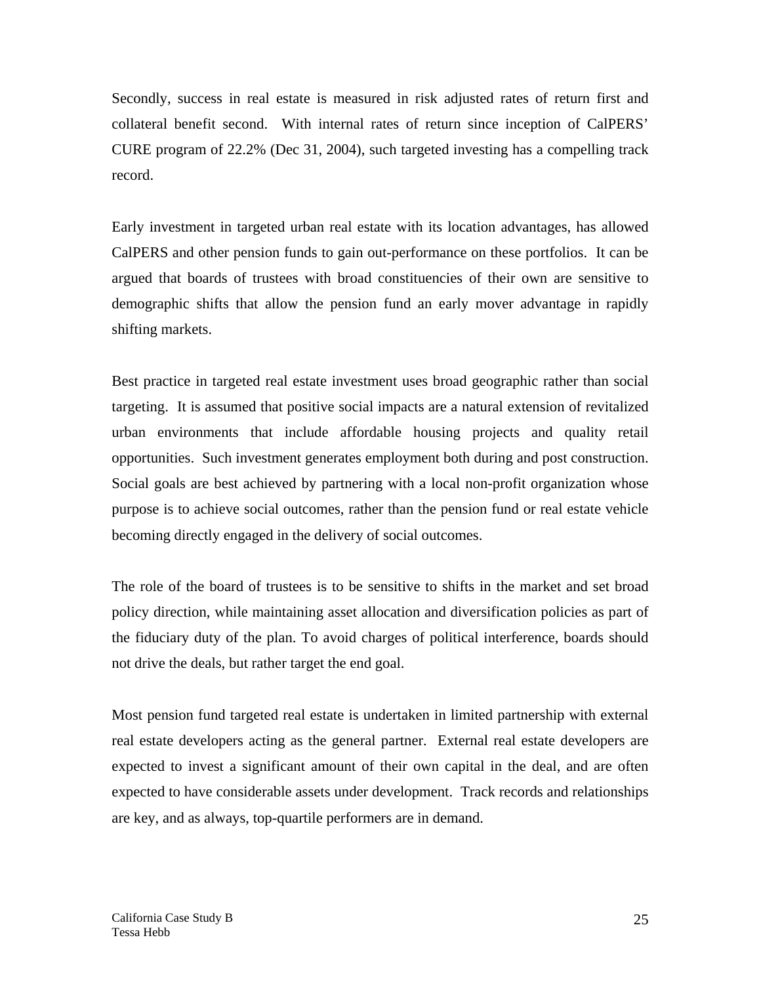Secondly, success in real estate is measured in risk adjusted rates of return first and collateral benefit second. With internal rates of return since inception of CalPERS' CURE program of 22.2% (Dec 31, 2004), such targeted investing has a compelling track record.

Early investment in targeted urban real estate with its location advantages, has allowed CalPERS and other pension funds to gain out-performance on these portfolios. It can be argued that boards of trustees with broad constituencies of their own are sensitive to demographic shifts that allow the pension fund an early mover advantage in rapidly shifting markets.

Best practice in targeted real estate investment uses broad geographic rather than social targeting. It is assumed that positive social impacts are a natural extension of revitalized urban environments that include affordable housing projects and quality retail opportunities. Such investment generates employment both during and post construction. Social goals are best achieved by partnering with a local non-profit organization whose purpose is to achieve social outcomes, rather than the pension fund or real estate vehicle becoming directly engaged in the delivery of social outcomes.

The role of the board of trustees is to be sensitive to shifts in the market and set broad policy direction, while maintaining asset allocation and diversification policies as part of the fiduciary duty of the plan. To avoid charges of political interference, boards should not drive the deals, but rather target the end goal.

Most pension fund targeted real estate is undertaken in limited partnership with external real estate developers acting as the general partner. External real estate developers are expected to invest a significant amount of their own capital in the deal, and are often expected to have considerable assets under development. Track records and relationships are key, and as always, top-quartile performers are in demand.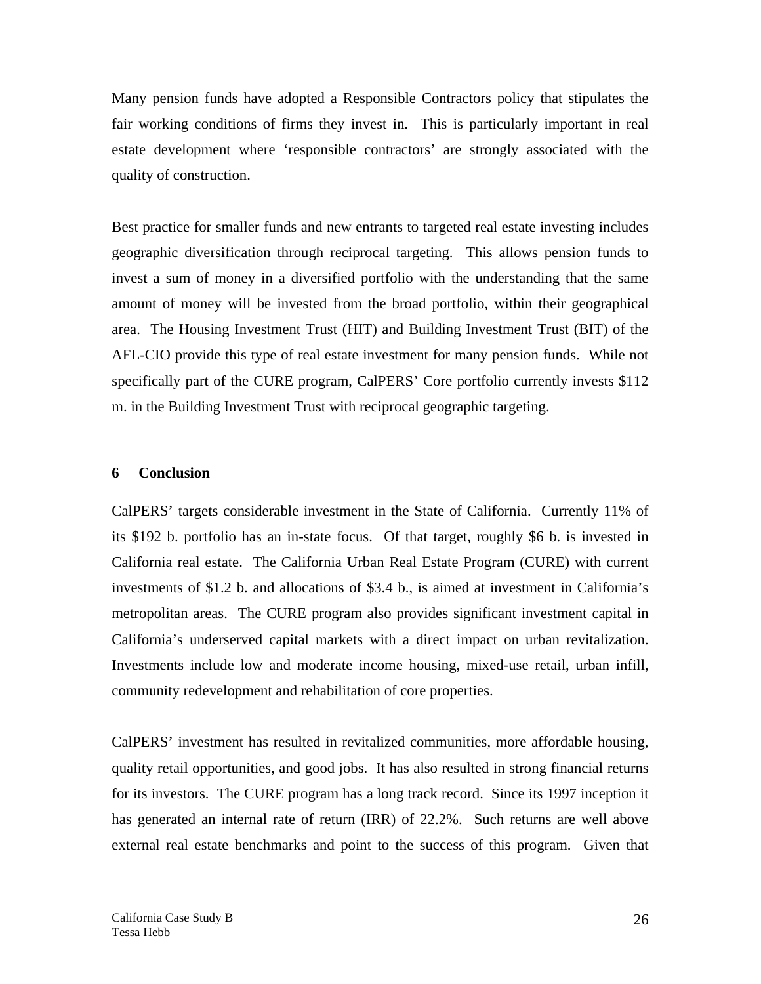Many pension funds have adopted a Responsible Contractors policy that stipulates the fair working conditions of firms they invest in. This is particularly important in real estate development where 'responsible contractors' are strongly associated with the quality of construction.

Best practice for smaller funds and new entrants to targeted real estate investing includes geographic diversification through reciprocal targeting. This allows pension funds to invest a sum of money in a diversified portfolio with the understanding that the same amount of money will be invested from the broad portfolio, within their geographical area. The Housing Investment Trust (HIT) and Building Investment Trust (BIT) of the AFL-CIO provide this type of real estate investment for many pension funds. While not specifically part of the CURE program, CalPERS' Core portfolio currently invests \$112 m. in the Building Investment Trust with reciprocal geographic targeting.

#### **6 Conclusion**

CalPERS' targets considerable investment in the State of California. Currently 11% of its \$192 b. portfolio has an in-state focus. Of that target, roughly \$6 b. is invested in California real estate. The California Urban Real Estate Program (CURE) with current investments of \$1.2 b. and allocations of \$3.4 b., is aimed at investment in California's metropolitan areas. The CURE program also provides significant investment capital in California's underserved capital markets with a direct impact on urban revitalization. Investments include low and moderate income housing, mixed-use retail, urban infill, community redevelopment and rehabilitation of core properties.

CalPERS' investment has resulted in revitalized communities, more affordable housing, quality retail opportunities, and good jobs. It has also resulted in strong financial returns for its investors. The CURE program has a long track record. Since its 1997 inception it has generated an internal rate of return (IRR) of 22.2%. Such returns are well above external real estate benchmarks and point to the success of this program. Given that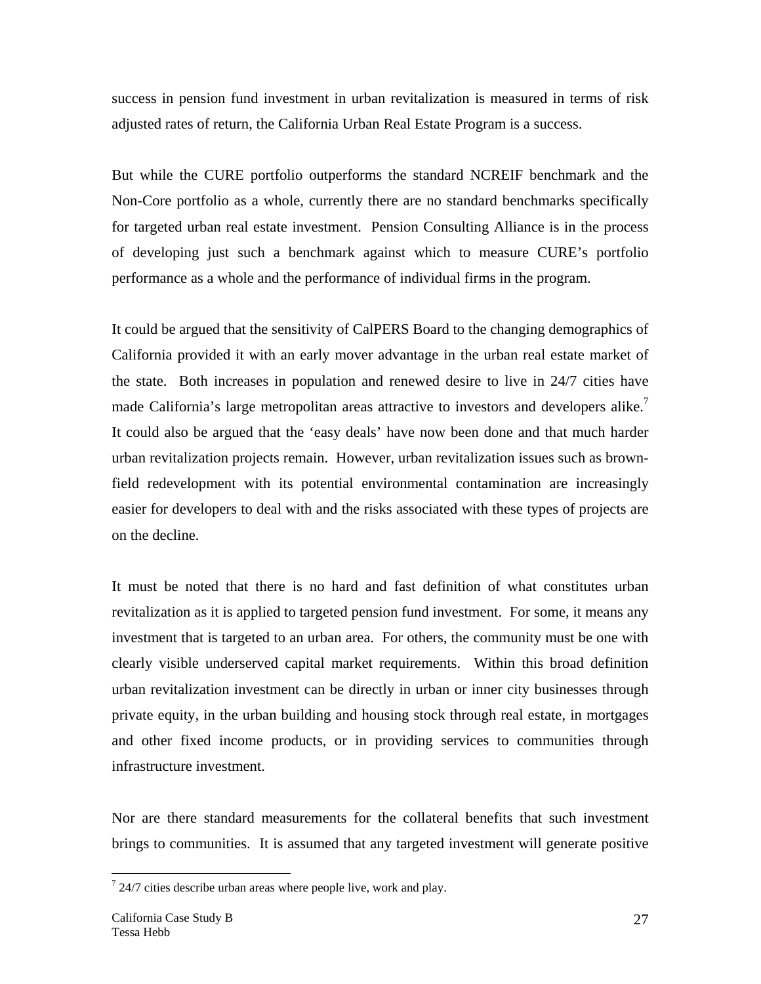success in pension fund investment in urban revitalization is measured in terms of risk adjusted rates of return, the California Urban Real Estate Program is a success.

But while the CURE portfolio outperforms the standard NCREIF benchmark and the Non-Core portfolio as a whole, currently there are no standard benchmarks specifically for targeted urban real estate investment. Pension Consulting Alliance is in the process of developing just such a benchmark against which to measure CURE's portfolio performance as a whole and the performance of individual firms in the program.

It could be argued that the sensitivity of CalPERS Board to the changing demographics of California provided it with an early mover advantage in the urban real estate market of the state. Both increases in population and renewed desire to live in 24/7 cities have made California's large metropolitan areas attractive to investors and developers alike.<sup>7</sup> It could also be argued that the 'easy deals' have now been done and that much harder urban revitalization projects remain. However, urban revitalization issues such as brownfield redevelopment with its potential environmental contamination are increasingly easier for developers to deal with and the risks associated with these types of projects are on the decline.

It must be noted that there is no hard and fast definition of what constitutes urban revitalization as it is applied to targeted pension fund investment. For some, it means any investment that is targeted to an urban area. For others, the community must be one with clearly visible underserved capital market requirements. Within this broad definition urban revitalization investment can be directly in urban or inner city businesses through private equity, in the urban building and housing stock through real estate, in mortgages and other fixed income products, or in providing services to communities through infrastructure investment.

Nor are there standard measurements for the collateral benefits that such investment brings to communities. It is assumed that any targeted investment will generate positive

1

 $724/7$  cities describe urban areas where people live, work and play.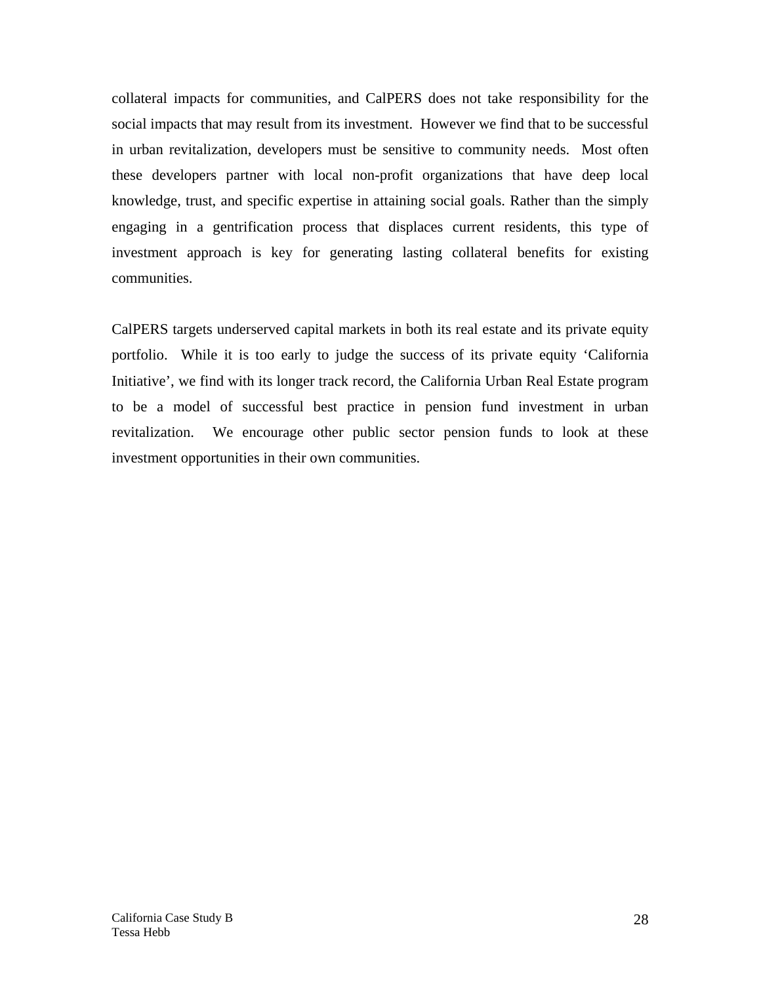collateral impacts for communities, and CalPERS does not take responsibility for the social impacts that may result from its investment. However we find that to be successful in urban revitalization, developers must be sensitive to community needs. Most often these developers partner with local non-profit organizations that have deep local knowledge, trust, and specific expertise in attaining social goals. Rather than the simply engaging in a gentrification process that displaces current residents, this type of investment approach is key for generating lasting collateral benefits for existing communities.

CalPERS targets underserved capital markets in both its real estate and its private equity portfolio. While it is too early to judge the success of its private equity 'California Initiative', we find with its longer track record, the California Urban Real Estate program to be a model of successful best practice in pension fund investment in urban revitalization. We encourage other public sector pension funds to look at these investment opportunities in their own communities.